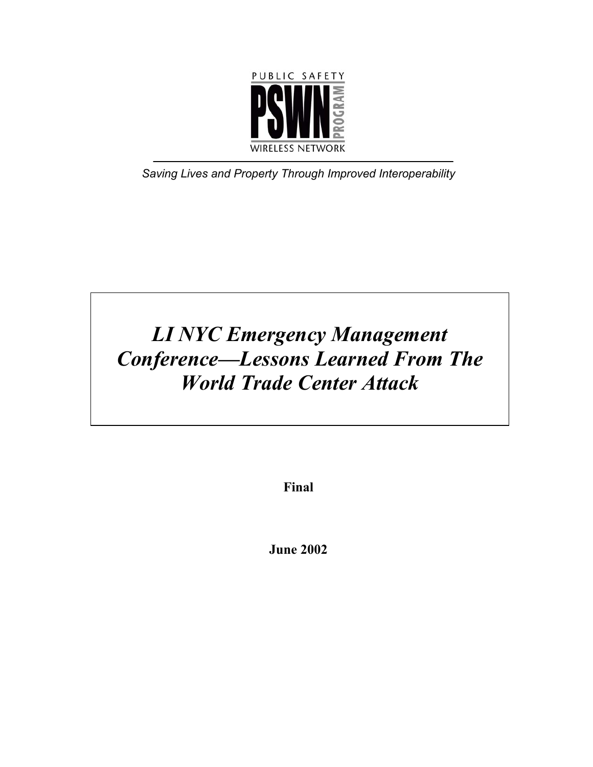

*Saving Lives and Property Through Improved Interoperability* 

# *LI NYC Emergency Management Conference—Lessons Learned From The World Trade Center Attack*

**Final** 

**June 2002**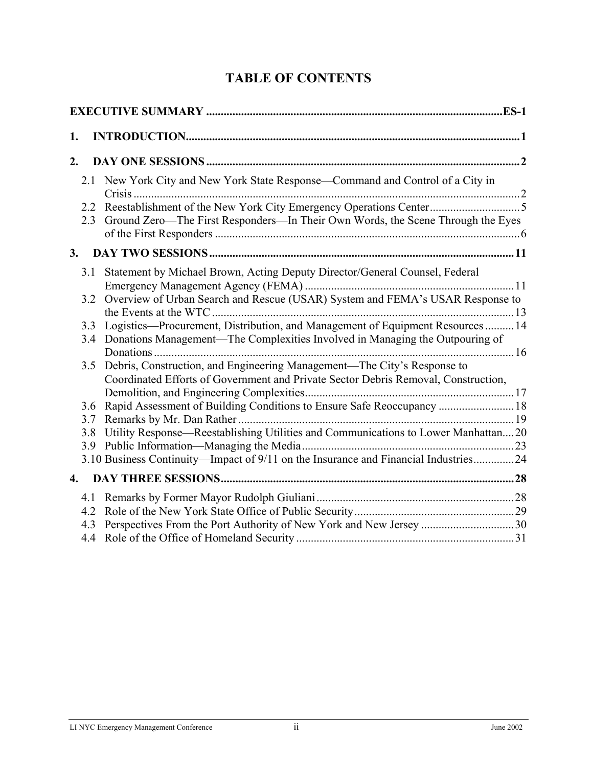# **TABLE OF CONTENTS**

| 1. |            |                                                                                                                                                                |  |  |
|----|------------|----------------------------------------------------------------------------------------------------------------------------------------------------------------|--|--|
| 2. |            |                                                                                                                                                                |  |  |
|    |            | 2.1 New York City and New York State Response—Command and Control of a City in                                                                                 |  |  |
|    | 2.2<br>2.3 | Ground Zero—The First Responders—In Their Own Words, the Scene Through the Eyes                                                                                |  |  |
| 3. |            |                                                                                                                                                                |  |  |
|    | 3.1        | Statement by Michael Brown, Acting Deputy Director/General Counsel, Federal                                                                                    |  |  |
|    | 3.2        | Overview of Urban Search and Rescue (USAR) System and FEMA's USAR Response to                                                                                  |  |  |
|    | 3.3<br>3.4 | Logistics—Procurement, Distribution, and Management of Equipment Resources  14<br>Donations Management—The Complexities Involved in Managing the Outpouring of |  |  |
|    | 3.5        | Debris, Construction, and Engineering Management—The City's Response to<br>Coordinated Efforts of Government and Private Sector Debris Removal, Construction,  |  |  |
|    | 3.6        | Rapid Assessment of Building Conditions to Ensure Safe Reoccupancy  18                                                                                         |  |  |
|    | 3.7        |                                                                                                                                                                |  |  |
|    | 3.8        | Utility Response—Reestablishing Utilities and Communications to Lower Manhattan20                                                                              |  |  |
|    | 3.9        | 3.10 Business Continuity—Impact of 9/11 on the Insurance and Financial Industries24                                                                            |  |  |
| 4. |            |                                                                                                                                                                |  |  |
|    |            |                                                                                                                                                                |  |  |
|    | 4.2        |                                                                                                                                                                |  |  |
|    | 4.3        | Perspectives From the Port Authority of New York and New Jersey 30                                                                                             |  |  |
|    | 4.4        |                                                                                                                                                                |  |  |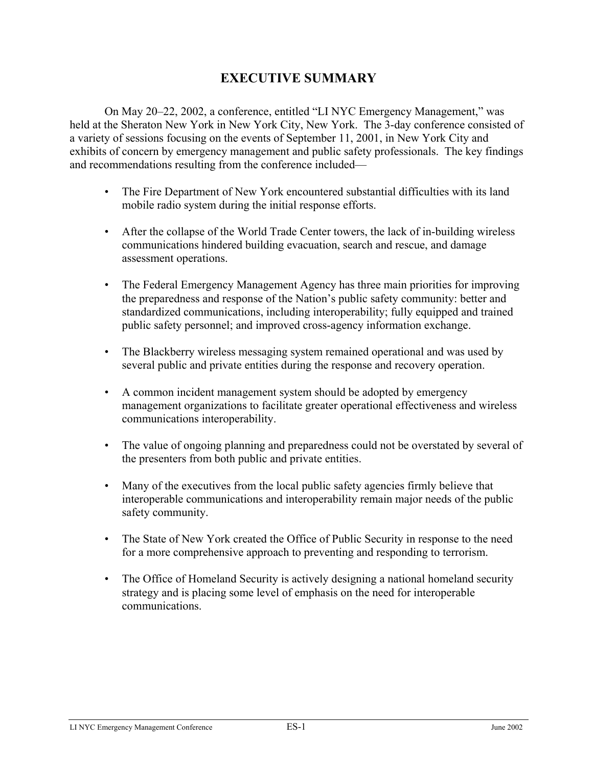# **EXECUTIVE SUMMARY**

On May 20–22, 2002, a conference, entitled "LI NYC Emergency Management," was held at the Sheraton New York in New York City, New York. The 3-day conference consisted of a variety of sessions focusing on the events of September 11, 2001, in New York City and exhibits of concern by emergency management and public safety professionals. The key findings and recommendations resulting from the conference included—

- The Fire Department of New York encountered substantial difficulties with its land mobile radio system during the initial response efforts.
- After the collapse of the World Trade Center towers, the lack of in-building wireless communications hindered building evacuation, search and rescue, and damage assessment operations.
- The Federal Emergency Management Agency has three main priorities for improving the preparedness and response of the Nation's public safety community: better and standardized communications, including interoperability; fully equipped and trained public safety personnel; and improved cross-agency information exchange.
- The Blackberry wireless messaging system remained operational and was used by several public and private entities during the response and recovery operation.
- A common incident management system should be adopted by emergency management organizations to facilitate greater operational effectiveness and wireless communications interoperability.
- The value of ongoing planning and preparedness could not be overstated by several of the presenters from both public and private entities.
- Many of the executives from the local public safety agencies firmly believe that interoperable communications and interoperability remain major needs of the public safety community.
- The State of New York created the Office of Public Security in response to the need for a more comprehensive approach to preventing and responding to terrorism.
- The Office of Homeland Security is actively designing a national homeland security strategy and is placing some level of emphasis on the need for interoperable communications.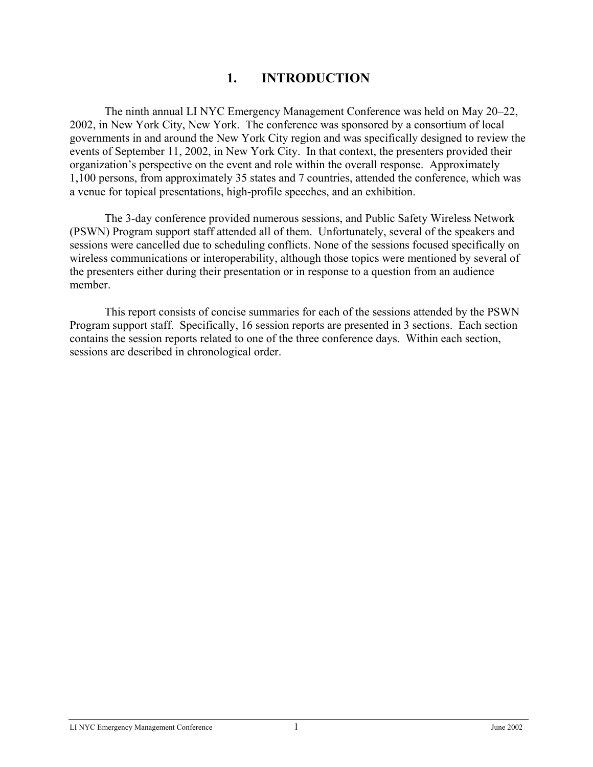# **1. INTRODUCTION**

<span id="page-3-0"></span>The ninth annual LI NYC Emergency Management Conference was held on May 20–22, 2002, in New York City, New York. The conference was sponsored by a consortium of local governments in and around the New York City region and was specifically designed to review the events of September 11, 2002, in New York City. In that context, the presenters provided their organization's perspective on the event and role within the overall response. Approximately 1,100 persons, from approximately 35 states and 7 countries, attended the conference, which was a venue for topical presentations, high-profile speeches, and an exhibition.

The 3-day conference provided numerous sessions, and Public Safety Wireless Network (PSWN) Program support staff attended all of them. Unfortunately, several of the speakers and sessions were cancelled due to scheduling conflicts. None of the sessions focused specifically on wireless communications or interoperability, although those topics were mentioned by several of the presenters either during their presentation or in response to a question from an audience member.

This report consists of concise summaries for each of the sessions attended by the PSWN Program support staff. Specifically, 16 session reports are presented in 3 sections. Each section contains the session reports related to one of the three conference days. Within each section, sessions are described in chronological order.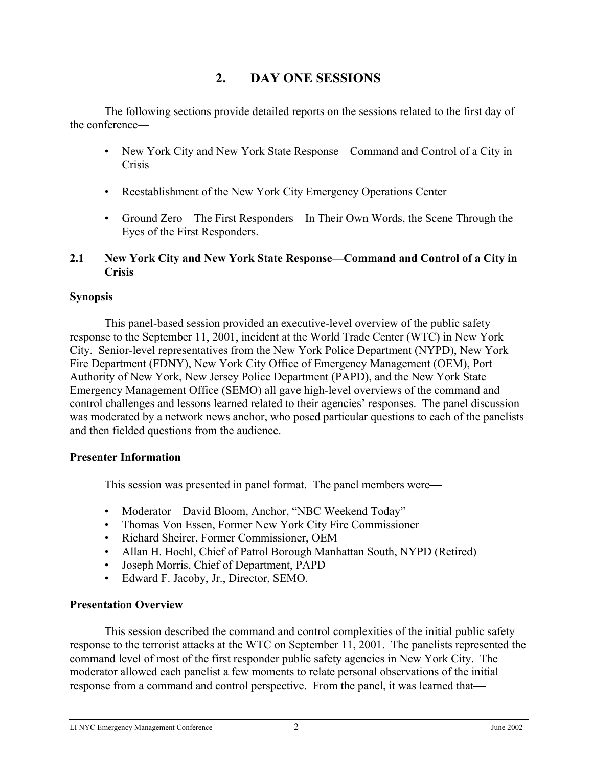# **2. DAY ONE SESSIONS**

<span id="page-4-0"></span>The following sections provide detailed reports on the sessions related to the first day of the conference―

- New York City and New York State Response—Command and Control of a City in Crisis
- Reestablishment of the New York City Emergency Operations Center
- Ground Zero—The First Responders—In Their Own Words, the Scene Through the Eyes of the First Responders.

## **2.1 New York City and New York State Response—Command and Control of a City in Crisis**

## **Synopsis**

This panel-based session provided an executive-level overview of the public safety response to the September 11, 2001, incident at the World Trade Center (WTC) in New York City. Senior-level representatives from the New York Police Department (NYPD), New York Fire Department (FDNY), New York City Office of Emergency Management (OEM), Port Authority of New York, New Jersey Police Department (PAPD), and the New York State Emergency Management Office (SEMO) all gave high-level overviews of the command and control challenges and lessons learned related to their agencies' responses. The panel discussion was moderated by a network news anchor, who posed particular questions to each of the panelists and then fielded questions from the audience.

## **Presenter Information**

This session was presented in panel format. The panel members were

- Moderator—David Bloom, Anchor, "NBC Weekend Today"
- Thomas Von Essen, Former New York City Fire Commissioner
- Richard Sheirer, Former Commissioner, OEM
- Allan H. Hoehl, Chief of Patrol Borough Manhattan South, NYPD (Retired)
- Joseph Morris, Chief of Department, PAPD
- Edward F. Jacoby, Jr., Director, SEMO.

## **Presentation Overview**

This session described the command and control complexities of the initial public safety response to the terrorist attacks at the WTC on September 11, 2001. The panelists represented the command level of most of the first responder public safety agencies in New York City. The moderator allowed each panelist a few moments to relate personal observations of the initial response from a command and control perspective. From the panel, it was learned that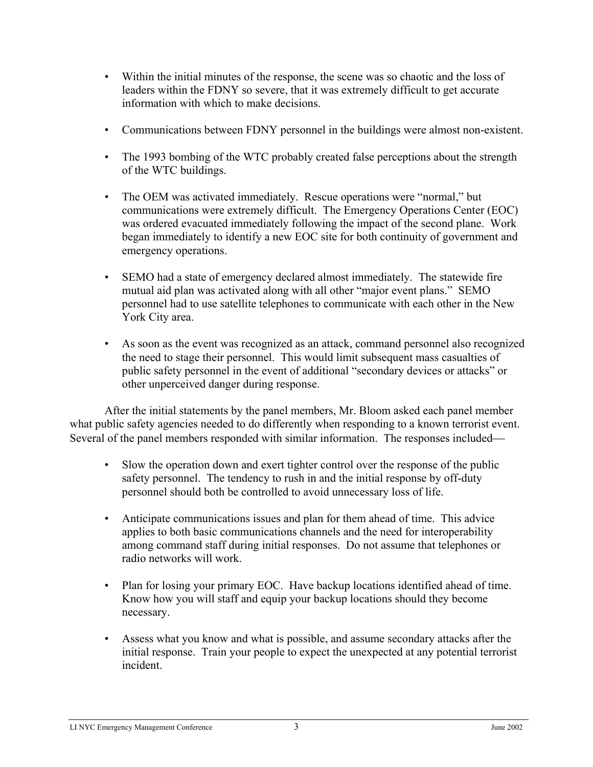- Within the initial minutes of the response, the scene was so chaotic and the loss of leaders within the FDNY so severe, that it was extremely difficult to get accurate information with which to make decisions.
- Communications between FDNY personnel in the buildings were almost non-existent.
- The 1993 bombing of the WTC probably created false perceptions about the strength of the WTC buildings.
- The OEM was activated immediately. Rescue operations were "normal," but communications were extremely difficult. The Emergency Operations Center (EOC) was ordered evacuated immediately following the impact of the second plane. Work began immediately to identify a new EOC site for both continuity of government and emergency operations.
- SEMO had a state of emergency declared almost immediately. The statewide fire mutual aid plan was activated along with all other "major event plans." SEMO personnel had to use satellite telephones to communicate with each other in the New York City area.
- As soon as the event was recognized as an attack, command personnel also recognized the need to stage their personnel. This would limit subsequent mass casualties of public safety personnel in the event of additional "secondary devices or attacks" or other unperceived danger during response.

After the initial statements by the panel members, Mr. Bloom asked each panel member what public safety agencies needed to do differently when responding to a known terrorist event. Several of the panel members responded with similar information. The responses included

- Slow the operation down and exert tighter control over the response of the public safety personnel. The tendency to rush in and the initial response by off-duty personnel should both be controlled to avoid unnecessary loss of life.
- Anticipate communications issues and plan for them ahead of time. This advice applies to both basic communications channels and the need for interoperability among command staff during initial responses. Do not assume that telephones or radio networks will work.
- Plan for losing your primary EOC. Have backup locations identified ahead of time. Know how you will staff and equip your backup locations should they become necessary.
- Assess what you know and what is possible, and assume secondary attacks after the initial response. Train your people to expect the unexpected at any potential terrorist incident.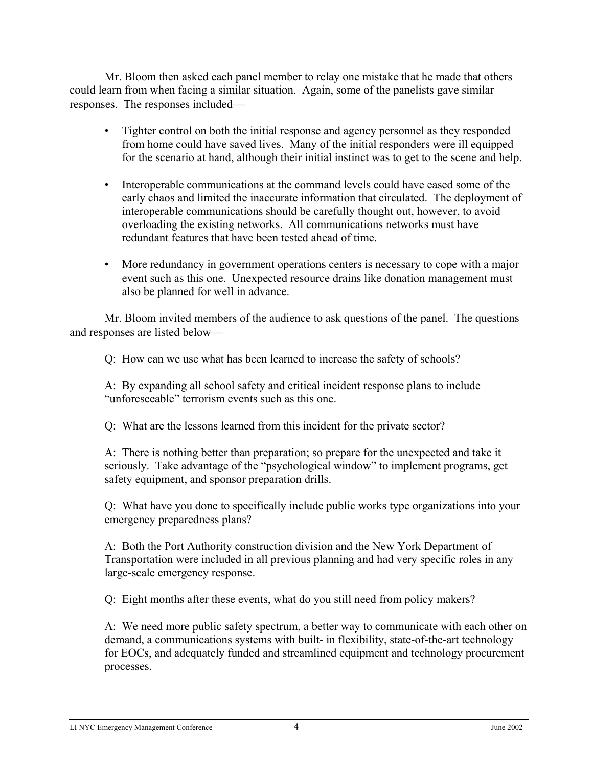Mr. Bloom then asked each panel member to relay one mistake that he made that others could learn from when facing a similar situation. Again, some of the panelists gave similar responses. The responses included

- Tighter control on both the initial response and agency personnel as they responded from home could have saved lives. Many of the initial responders were ill equipped for the scenario at hand, although their initial instinct was to get to the scene and help.
- Interoperable communications at the command levels could have eased some of the early chaos and limited the inaccurate information that circulated. The deployment of interoperable communications should be carefully thought out, however, to avoid overloading the existing networks. All communications networks must have redundant features that have been tested ahead of time.
- More redundancy in government operations centers is necessary to cope with a major event such as this one. Unexpected resource drains like donation management must also be planned for well in advance.

Mr. Bloom invited members of the audience to ask questions of the panel. The questions and responses are listed below

Q: How can we use what has been learned to increase the safety of schools?

A: By expanding all school safety and critical incident response plans to include "unforeseeable" terrorism events such as this one.

Q: What are the lessons learned from this incident for the private sector?

A: There is nothing better than preparation; so prepare for the unexpected and take it seriously. Take advantage of the "psychological window" to implement programs, get safety equipment, and sponsor preparation drills.

Q: What have you done to specifically include public works type organizations into your emergency preparedness plans?

A: Both the Port Authority construction division and the New York Department of Transportation were included in all previous planning and had very specific roles in any large-scale emergency response.

Q: Eight months after these events, what do you still need from policy makers?

A: We need more public safety spectrum, a better way to communicate with each other on demand, a communications systems with built- in flexibility, state-of-the-art technology for EOCs, and adequately funded and streamlined equipment and technology procurement processes.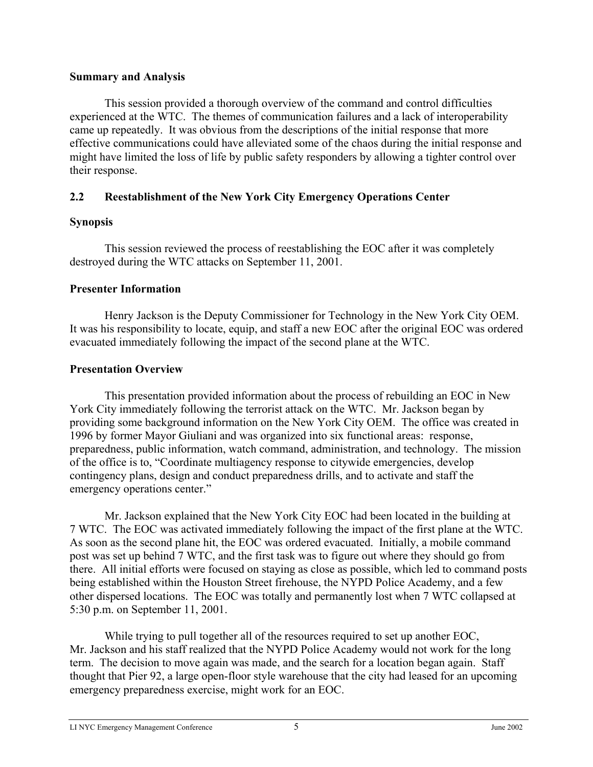#### <span id="page-7-0"></span>**Summary and Analysis**

This session provided a thorough overview of the command and control difficulties experienced at the WTC. The themes of communication failures and a lack of interoperability came up repeatedly. It was obvious from the descriptions of the initial response that more effective communications could have alleviated some of the chaos during the initial response and might have limited the loss of life by public safety responders by allowing a tighter control over their response.

## **2.2 Reestablishment of the New York City Emergency Operations Center**

## **Synopsis**

This session reviewed the process of reestablishing the EOC after it was completely destroyed during the WTC attacks on September 11, 2001.

## **Presenter Information**

Henry Jackson is the Deputy Commissioner for Technology in the New York City OEM. It was his responsibility to locate, equip, and staff a new EOC after the original EOC was ordered evacuated immediately following the impact of the second plane at the WTC.

## **Presentation Overview**

This presentation provided information about the process of rebuilding an EOC in New York City immediately following the terrorist attack on the WTC. Mr. Jackson began by providing some background information on the New York City OEM. The office was created in 1996 by former Mayor Giuliani and was organized into six functional areas: response, preparedness, public information, watch command, administration, and technology. The mission of the office is to, "Coordinate multiagency response to citywide emergencies, develop contingency plans, design and conduct preparedness drills, and to activate and staff the emergency operations center."

Mr. Jackson explained that the New York City EOC had been located in the building at 7 WTC. The EOC was activated immediately following the impact of the first plane at the WTC. As soon as the second plane hit, the EOC was ordered evacuated. Initially, a mobile command post was set up behind 7 WTC, and the first task was to figure out where they should go from there. All initial efforts were focused on staying as close as possible, which led to command posts being established within the Houston Street firehouse, the NYPD Police Academy, and a few other dispersed locations. The EOC was totally and permanently lost when 7 WTC collapsed at 5:30 p.m. on September 11, 2001.

While trying to pull together all of the resources required to set up another EOC, Mr. Jackson and his staff realized that the NYPD Police Academy would not work for the long term. The decision to move again was made, and the search for a location began again. Staff thought that Pier 92, a large open-floor style warehouse that the city had leased for an upcoming emergency preparedness exercise, might work for an EOC.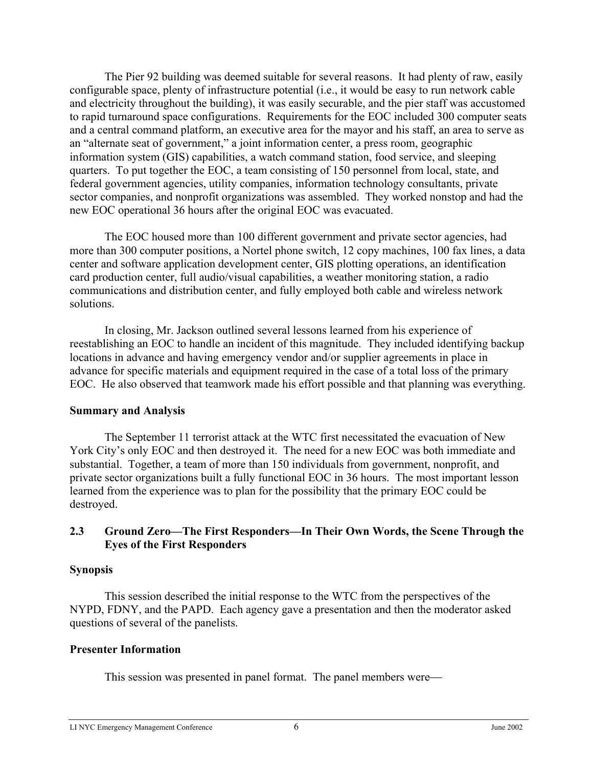<span id="page-8-0"></span>The Pier 92 building was deemed suitable for several reasons. It had plenty of raw, easily configurable space, plenty of infrastructure potential (i.e., it would be easy to run network cable and electricity throughout the building), it was easily securable, and the pier staff was accustomed to rapid turnaround space configurations. Requirements for the EOC included 300 computer seats and a central command platform, an executive area for the mayor and his staff, an area to serve as an "alternate seat of government," a joint information center, a press room, geographic information system (GIS) capabilities, a watch command station, food service, and sleeping quarters. To put together the EOC, a team consisting of 150 personnel from local, state, and federal government agencies, utility companies, information technology consultants, private sector companies, and nonprofit organizations was assembled. They worked nonstop and had the new EOC operational 36 hours after the original EOC was evacuated.

The EOC housed more than 100 different government and private sector agencies, had more than 300 computer positions, a Nortel phone switch, 12 copy machines, 100 fax lines, a data center and software application development center, GIS plotting operations, an identification card production center, full audio/visual capabilities, a weather monitoring station, a radio communications and distribution center, and fully employed both cable and wireless network solutions.

In closing, Mr. Jackson outlined several lessons learned from his experience of reestablishing an EOC to handle an incident of this magnitude. They included identifying backup locations in advance and having emergency vendor and/or supplier agreements in place in advance for specific materials and equipment required in the case of a total loss of the primary EOC. He also observed that teamwork made his effort possible and that planning was everything.

#### **Summary and Analysis**

The September 11 terrorist attack at the WTC first necessitated the evacuation of New York City's only EOC and then destroyed it. The need for a new EOC was both immediate and substantial. Together, a team of more than 150 individuals from government, nonprofit, and private sector organizations built a fully functional EOC in 36 hours. The most important lesson learned from the experience was to plan for the possibility that the primary EOC could be destroyed.

#### **2.3 Ground Zero—The First Responders—In Their Own Words, the Scene Through the Eyes of the First Responders**

## **Synopsis**

This session described the initial response to the WTC from the perspectives of the NYPD, FDNY, and the PAPD. Each agency gave a presentation and then the moderator asked questions of several of the panelists.

## **Presenter Information**

This session was presented in panel format. The panel members were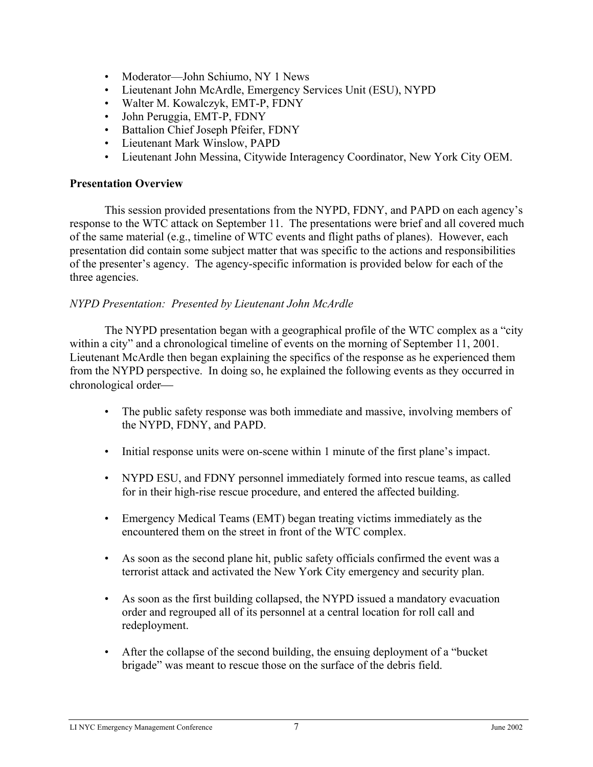- Moderator—John Schiumo, NY 1 News
- Lieutenant John McArdle, Emergency Services Unit (ESU), NYPD
- Walter M. Kowalczyk, EMT-P, FDNY
- John Peruggia, EMT-P, FDNY
- Battalion Chief Joseph Pfeifer, FDNY
- Lieutenant Mark Winslow, PAPD
- Lieutenant John Messina, Citywide Interagency Coordinator, New York City OEM.

#### **Presentation Overview**

This session provided presentations from the NYPD, FDNY, and PAPD on each agency's response to the WTC attack on September 11. The presentations were brief and all covered much of the same material (e.g., timeline of WTC events and flight paths of planes). However, each presentation did contain some subject matter that was specific to the actions and responsibilities of the presenter's agency. The agency-specific information is provided below for each of the three agencies.

#### *NYPD Presentation: Presented by Lieutenant John McArdle*

The NYPD presentation began with a geographical profile of the WTC complex as a "city within a city" and a chronological timeline of events on the morning of September 11, 2001. Lieutenant McArdle then began explaining the specifics of the response as he experienced them from the NYPD perspective. In doing so, he explained the following events as they occurred in chronological order

- The public safety response was both immediate and massive, involving members of the NYPD, FDNY, and PAPD.
- Initial response units were on-scene within 1 minute of the first plane's impact.
- NYPD ESU, and FDNY personnel immediately formed into rescue teams, as called for in their high-rise rescue procedure, and entered the affected building.
- Emergency Medical Teams (EMT) began treating victims immediately as the encountered them on the street in front of the WTC complex.
- As soon as the second plane hit, public safety officials confirmed the event was a terrorist attack and activated the New York City emergency and security plan.
- As soon as the first building collapsed, the NYPD issued a mandatory evacuation order and regrouped all of its personnel at a central location for roll call and redeployment.
- After the collapse of the second building, the ensuing deployment of a "bucket brigade" was meant to rescue those on the surface of the debris field.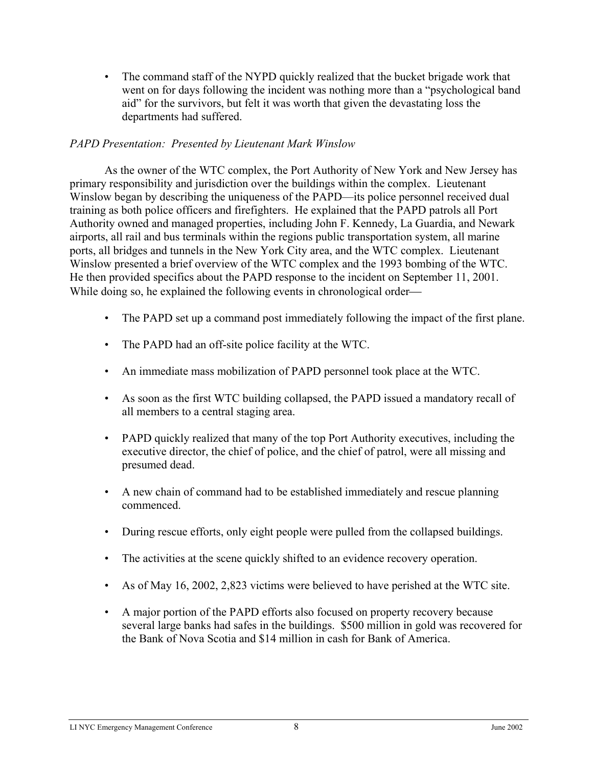• The command staff of the NYPD quickly realized that the bucket brigade work that went on for days following the incident was nothing more than a "psychological band aid" for the survivors, but felt it was worth that given the devastating loss the departments had suffered.

#### *PAPD Presentation: Presented by Lieutenant Mark Winslow*

As the owner of the WTC complex, the Port Authority of New York and New Jersey has primary responsibility and jurisdiction over the buildings within the complex. Lieutenant Winslow began by describing the uniqueness of the PAPD—its police personnel received dual training as both police officers and firefighters. He explained that the PAPD patrols all Port Authority owned and managed properties, including John F. Kennedy, La Guardia, and Newark airports, all rail and bus terminals within the regions public transportation system, all marine ports, all bridges and tunnels in the New York City area, and the WTC complex. Lieutenant Winslow presented a brief overview of the WTC complex and the 1993 bombing of the WTC. He then provided specifics about the PAPD response to the incident on September 11, 2001. While doing so, he explained the following events in chronological order—

- The PAPD set up a command post immediately following the impact of the first plane.
- The PAPD had an off-site police facility at the WTC.
- An immediate mass mobilization of PAPD personnel took place at the WTC.
- As soon as the first WTC building collapsed, the PAPD issued a mandatory recall of all members to a central staging area.
- PAPD quickly realized that many of the top Port Authority executives, including the executive director, the chief of police, and the chief of patrol, were all missing and presumed dead.
- A new chain of command had to be established immediately and rescue planning commenced.
- During rescue efforts, only eight people were pulled from the collapsed buildings.
- The activities at the scene quickly shifted to an evidence recovery operation.
- As of May 16, 2002, 2,823 victims were believed to have perished at the WTC site.
- A major portion of the PAPD efforts also focused on property recovery because several large banks had safes in the buildings. \$500 million in gold was recovered for the Bank of Nova Scotia and \$14 million in cash for Bank of America.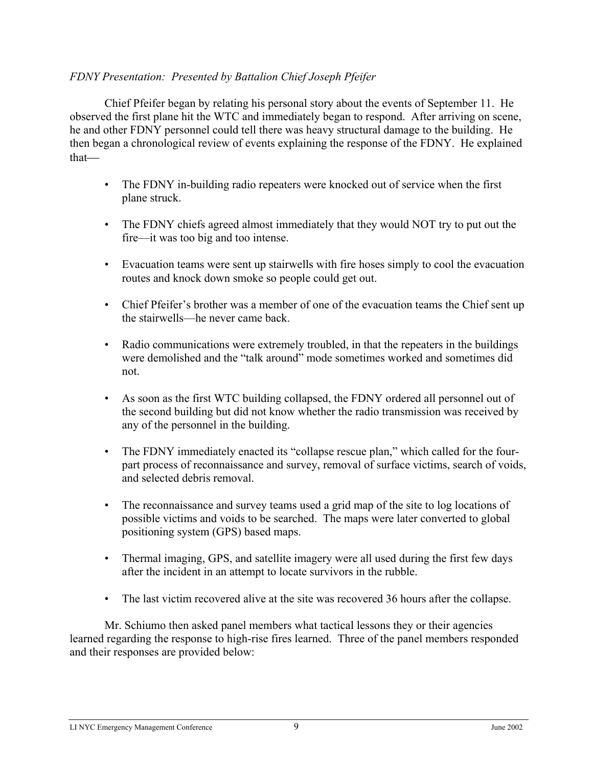#### *FDNY Presentation: Presented by Battalion Chief Joseph Pfeifer*

Chief Pfeifer began by relating his personal story about the events of September 11. He observed the first plane hit the WTC and immediately began to respond. After arriving on scene, he and other FDNY personnel could tell there was heavy structural damage to the building. He then began a chronological review of events explaining the response of the FDNY. He explained that

- The FDNY in-building radio repeaters were knocked out of service when the first plane struck.
- The FDNY chiefs agreed almost immediately that they would NOT try to put out the fire—it was too big and too intense.
- Evacuation teams were sent up stairwells with fire hoses simply to cool the evacuation routes and knock down smoke so people could get out.
- Chief Pfeifer's brother was a member of one of the evacuation teams the Chief sent up the stairwells—he never came back.
- Radio communications were extremely troubled, in that the repeaters in the buildings were demolished and the "talk around" mode sometimes worked and sometimes did not.
- As soon as the first WTC building collapsed, the FDNY ordered all personnel out of the second building but did not know whether the radio transmission was received by any of the personnel in the building.
- The FDNY immediately enacted its "collapse rescue plan," which called for the fourpart process of reconnaissance and survey, removal of surface victims, search of voids, and selected debris removal.
- The reconnaissance and survey teams used a grid map of the site to log locations of possible victims and voids to be searched. The maps were later converted to global positioning system (GPS) based maps.
- Thermal imaging, GPS, and satellite imagery were all used during the first few days after the incident in an attempt to locate survivors in the rubble.
- The last victim recovered alive at the site was recovered 36 hours after the collapse.

Mr. Schiumo then asked panel members what tactical lessons they or their agencies learned regarding the response to high-rise fires learned. Three of the panel members responded and their responses are provided below: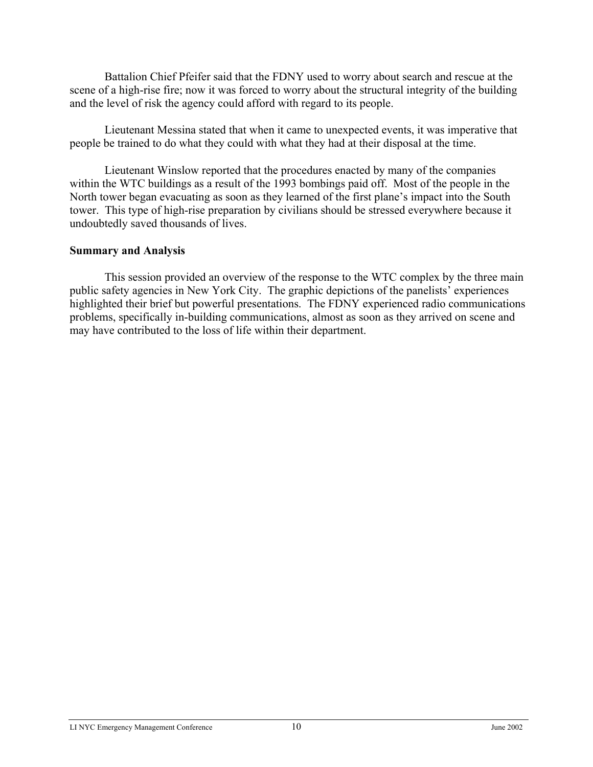Battalion Chief Pfeifer said that the FDNY used to worry about search and rescue at the scene of a high-rise fire; now it was forced to worry about the structural integrity of the building and the level of risk the agency could afford with regard to its people.

Lieutenant Messina stated that when it came to unexpected events, it was imperative that people be trained to do what they could with what they had at their disposal at the time.

Lieutenant Winslow reported that the procedures enacted by many of the companies within the WTC buildings as a result of the 1993 bombings paid off. Most of the people in the North tower began evacuating as soon as they learned of the first plane's impact into the South tower. This type of high-rise preparation by civilians should be stressed everywhere because it undoubtedly saved thousands of lives.

#### **Summary and Analysis**

This session provided an overview of the response to the WTC complex by the three main public safety agencies in New York City. The graphic depictions of the panelists' experiences highlighted their brief but powerful presentations. The FDNY experienced radio communications problems, specifically in-building communications, almost as soon as they arrived on scene and may have contributed to the loss of life within their department.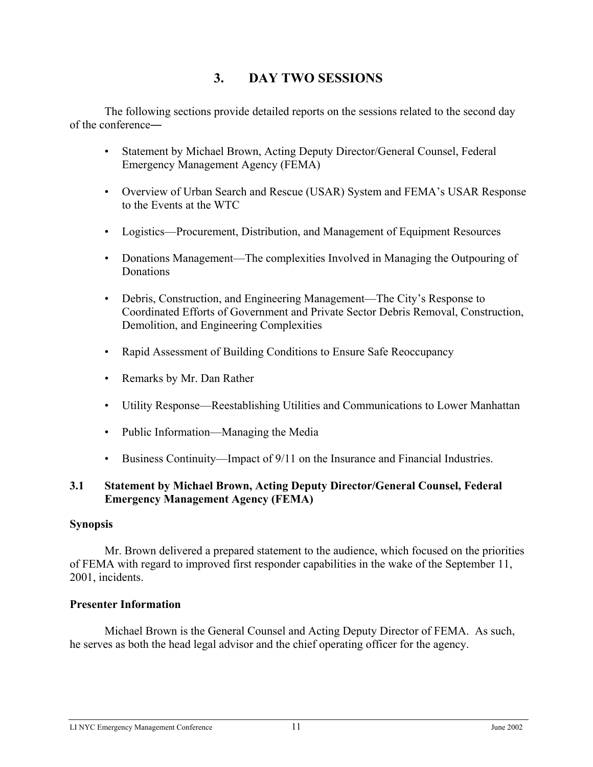# **3. DAY TWO SESSIONS**

<span id="page-13-0"></span>The following sections provide detailed reports on the sessions related to the second day of the conference―

- Statement by Michael Brown, Acting Deputy Director/General Counsel, Federal Emergency Management Agency (FEMA)
- Overview of Urban Search and Rescue (USAR) System and FEMA's USAR Response to the Events at the WTC
- Logistics—Procurement, Distribution, and Management of Equipment Resources
- Donations Management—The complexities Involved in Managing the Outpouring of Donations
- Debris, Construction, and Engineering Management—The City's Response to Coordinated Efforts of Government and Private Sector Debris Removal, Construction, Demolition, and Engineering Complexities
- Rapid Assessment of Building Conditions to Ensure Safe Reoccupancy
- Remarks by Mr. Dan Rather
- Utility Response—Reestablishing Utilities and Communications to Lower Manhattan
- Public Information—Managing the Media
- Business Continuity—Impact of 9/11 on the Insurance and Financial Industries.

## **3.1 Statement by Michael Brown, Acting Deputy Director/General Counsel, Federal Emergency Management Agency (FEMA)**

## **Synopsis**

Mr. Brown delivered a prepared statement to the audience, which focused on the priorities of FEMA with regard to improved first responder capabilities in the wake of the September 11, 2001, incidents.

## **Presenter Information**

Michael Brown is the General Counsel and Acting Deputy Director of FEMA. As such, he serves as both the head legal advisor and the chief operating officer for the agency.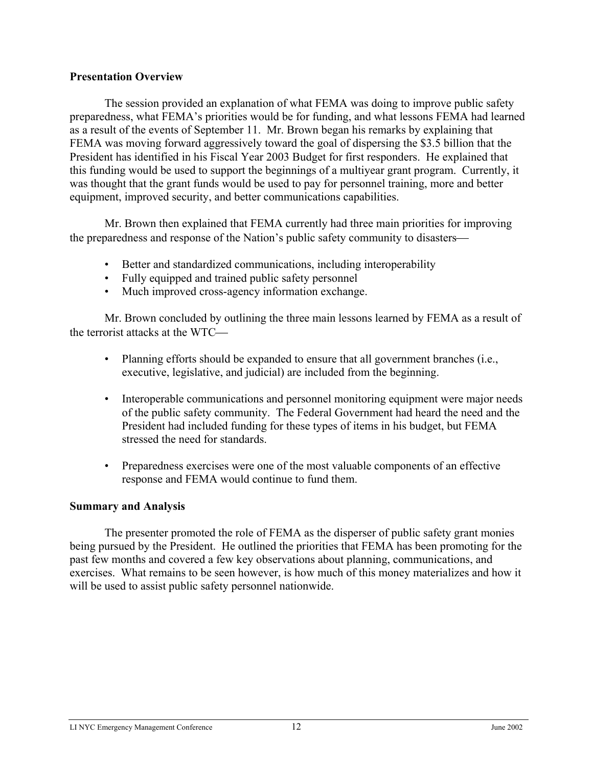#### **Presentation Overview**

The session provided an explanation of what FEMA was doing to improve public safety preparedness, what FEMA's priorities would be for funding, and what lessons FEMA had learned as a result of the events of September 11. Mr. Brown began his remarks by explaining that FEMA was moving forward aggressively toward the goal of dispersing the \$3.5 billion that the President has identified in his Fiscal Year 2003 Budget for first responders. He explained that this funding would be used to support the beginnings of a multiyear grant program. Currently, it was thought that the grant funds would be used to pay for personnel training, more and better equipment, improved security, and better communications capabilities.

Mr. Brown then explained that FEMA currently had three main priorities for improving the preparedness and response of the Nation's public safety community to disasters

- Better and standardized communications, including interoperability
- Fully equipped and trained public safety personnel
- Much improved cross-agency information exchange.

Mr. Brown concluded by outlining the three main lessons learned by FEMA as a result of the terrorist attacks at the WTC

- Planning efforts should be expanded to ensure that all government branches (i.e., executive, legislative, and judicial) are included from the beginning.
- Interoperable communications and personnel monitoring equipment were major needs of the public safety community. The Federal Government had heard the need and the President had included funding for these types of items in his budget, but FEMA stressed the need for standards.
- Preparedness exercises were one of the most valuable components of an effective response and FEMA would continue to fund them.

#### **Summary and Analysis**

The presenter promoted the role of FEMA as the disperser of public safety grant monies being pursued by the President. He outlined the priorities that FEMA has been promoting for the past few months and covered a few key observations about planning, communications, and exercises. What remains to be seen however, is how much of this money materializes and how it will be used to assist public safety personnel nationwide.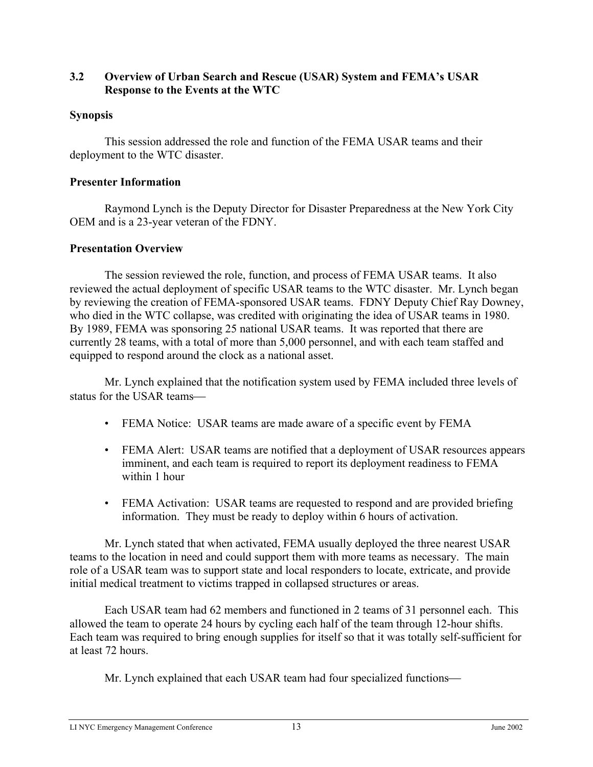#### <span id="page-15-0"></span>**3.2 Overview of Urban Search and Rescue (USAR) System and FEMA's USAR Response to the Events at the WTC**

#### **Synopsis**

This session addressed the role and function of the FEMA USAR teams and their deployment to the WTC disaster.

#### **Presenter Information**

Raymond Lynch is the Deputy Director for Disaster Preparedness at the New York City OEM and is a 23-year veteran of the FDNY.

#### **Presentation Overview**

The session reviewed the role, function, and process of FEMA USAR teams. It also reviewed the actual deployment of specific USAR teams to the WTC disaster. Mr. Lynch began by reviewing the creation of FEMA-sponsored USAR teams. FDNY Deputy Chief Ray Downey, who died in the WTC collapse, was credited with originating the idea of USAR teams in 1980. By 1989, FEMA was sponsoring 25 national USAR teams. It was reported that there are currently 28 teams, with a total of more than 5,000 personnel, and with each team staffed and equipped to respond around the clock as a national asset.

Mr. Lynch explained that the notification system used by FEMA included three levels of status for the USAR teams

- FEMA Notice: USAR teams are made aware of a specific event by FEMA
- FEMA Alert: USAR teams are notified that a deployment of USAR resources appears imminent, and each team is required to report its deployment readiness to FEMA within 1 hour
- FEMA Activation: USAR teams are requested to respond and are provided briefing information. They must be ready to deploy within 6 hours of activation.

Mr. Lynch stated that when activated, FEMA usually deployed the three nearest USAR teams to the location in need and could support them with more teams as necessary. The main role of a USAR team was to support state and local responders to locate, extricate, and provide initial medical treatment to victims trapped in collapsed structures or areas.

Each USAR team had 62 members and functioned in 2 teams of 31 personnel each. This allowed the team to operate 24 hours by cycling each half of the team through 12-hour shifts. Each team was required to bring enough supplies for itself so that it was totally self-sufficient for at least 72 hours.

Mr. Lynch explained that each USAR team had four specialized functions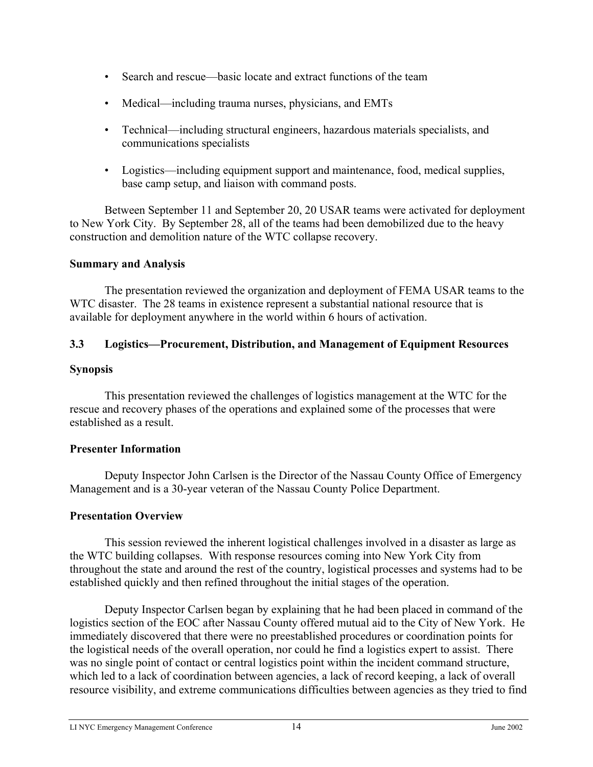- <span id="page-16-0"></span>• Search and rescue—basic locate and extract functions of the team
- Medical—including trauma nurses, physicians, and EMTs
- Technical—including structural engineers, hazardous materials specialists, and communications specialists
- Logistics—including equipment support and maintenance, food, medical supplies, base camp setup, and liaison with command posts.

Between September 11 and September 20, 20 USAR teams were activated for deployment to New York City. By September 28, all of the teams had been demobilized due to the heavy construction and demolition nature of the WTC collapse recovery.

## **Summary and Analysis**

The presentation reviewed the organization and deployment of FEMA USAR teams to the WTC disaster. The 28 teams in existence represent a substantial national resource that is available for deployment anywhere in the world within 6 hours of activation.

## **3.3 Logistics—Procurement, Distribution, and Management of Equipment Resources**

## **Synopsis**

This presentation reviewed the challenges of logistics management at the WTC for the rescue and recovery phases of the operations and explained some of the processes that were established as a result.

## **Presenter Information**

Deputy Inspector John Carlsen is the Director of the Nassau County Office of Emergency Management and is a 30-year veteran of the Nassau County Police Department.

## **Presentation Overview**

This session reviewed the inherent logistical challenges involved in a disaster as large as the WTC building collapses. With response resources coming into New York City from throughout the state and around the rest of the country, logistical processes and systems had to be established quickly and then refined throughout the initial stages of the operation.

Deputy Inspector Carlsen began by explaining that he had been placed in command of the logistics section of the EOC after Nassau County offered mutual aid to the City of New York. He immediately discovered that there were no preestablished procedures or coordination points for the logistical needs of the overall operation, nor could he find a logistics expert to assist. There was no single point of contact or central logistics point within the incident command structure, which led to a lack of coordination between agencies, a lack of record keeping, a lack of overall resource visibility, and extreme communications difficulties between agencies as they tried to find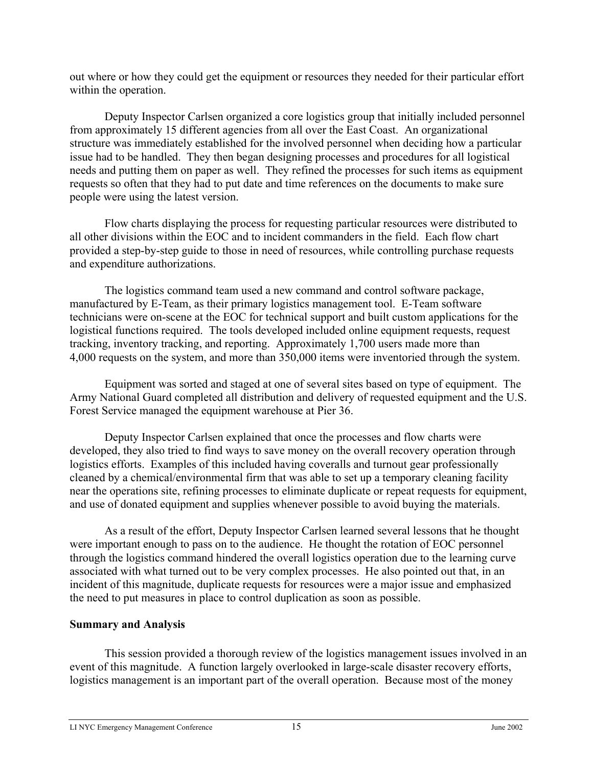out where or how they could get the equipment or resources they needed for their particular effort within the operation.

Deputy Inspector Carlsen organized a core logistics group that initially included personnel from approximately 15 different agencies from all over the East Coast. An organizational structure was immediately established for the involved personnel when deciding how a particular issue had to be handled. They then began designing processes and procedures for all logistical needs and putting them on paper as well. They refined the processes for such items as equipment requests so often that they had to put date and time references on the documents to make sure people were using the latest version.

Flow charts displaying the process for requesting particular resources were distributed to all other divisions within the EOC and to incident commanders in the field. Each flow chart provided a step-by-step guide to those in need of resources, while controlling purchase requests and expenditure authorizations.

The logistics command team used a new command and control software package, manufactured by E-Team, as their primary logistics management tool. E-Team software technicians were on-scene at the EOC for technical support and built custom applications for the logistical functions required. The tools developed included online equipment requests, request tracking, inventory tracking, and reporting. Approximately 1,700 users made more than 4,000 requests on the system, and more than 350,000 items were inventoried through the system.

Equipment was sorted and staged at one of several sites based on type of equipment. The Army National Guard completed all distribution and delivery of requested equipment and the U.S. Forest Service managed the equipment warehouse at Pier 36.

Deputy Inspector Carlsen explained that once the processes and flow charts were developed, they also tried to find ways to save money on the overall recovery operation through logistics efforts. Examples of this included having coveralls and turnout gear professionally cleaned by a chemical/environmental firm that was able to set up a temporary cleaning facility near the operations site, refining processes to eliminate duplicate or repeat requests for equipment, and use of donated equipment and supplies whenever possible to avoid buying the materials.

As a result of the effort, Deputy Inspector Carlsen learned several lessons that he thought were important enough to pass on to the audience. He thought the rotation of EOC personnel through the logistics command hindered the overall logistics operation due to the learning curve associated with what turned out to be very complex processes. He also pointed out that, in an incident of this magnitude, duplicate requests for resources were a major issue and emphasized the need to put measures in place to control duplication as soon as possible.

## **Summary and Analysis**

This session provided a thorough review of the logistics management issues involved in an event of this magnitude. A function largely overlooked in large-scale disaster recovery efforts, logistics management is an important part of the overall operation. Because most of the money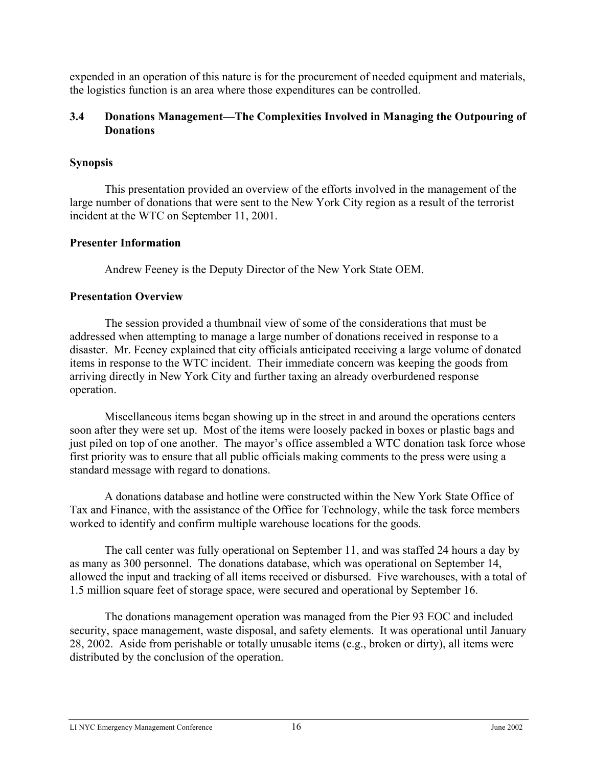<span id="page-18-0"></span>expended in an operation of this nature is for the procurement of needed equipment and materials, the logistics function is an area where those expenditures can be controlled.

#### **3.4 Donations Management—The Complexities Involved in Managing the Outpouring of Donations**

#### **Synopsis**

This presentation provided an overview of the efforts involved in the management of the large number of donations that were sent to the New York City region as a result of the terrorist incident at the WTC on September 11, 2001.

#### **Presenter Information**

Andrew Feeney is the Deputy Director of the New York State OEM.

#### **Presentation Overview**

The session provided a thumbnail view of some of the considerations that must be addressed when attempting to manage a large number of donations received in response to a disaster. Mr. Feeney explained that city officials anticipated receiving a large volume of donated items in response to the WTC incident. Their immediate concern was keeping the goods from arriving directly in New York City and further taxing an already overburdened response operation.

Miscellaneous items began showing up in the street in and around the operations centers soon after they were set up. Most of the items were loosely packed in boxes or plastic bags and just piled on top of one another. The mayor's office assembled a WTC donation task force whose first priority was to ensure that all public officials making comments to the press were using a standard message with regard to donations.

A donations database and hotline were constructed within the New York State Office of Tax and Finance, with the assistance of the Office for Technology, while the task force members worked to identify and confirm multiple warehouse locations for the goods.

The call center was fully operational on September 11, and was staffed 24 hours a day by as many as 300 personnel. The donations database, which was operational on September 14, allowed the input and tracking of all items received or disbursed. Five warehouses, with a total of 1.5 million square feet of storage space, were secured and operational by September 16.

The donations management operation was managed from the Pier 93 EOC and included security, space management, waste disposal, and safety elements. It was operational until January 28, 2002. Aside from perishable or totally unusable items (e.g., broken or dirty), all items were distributed by the conclusion of the operation.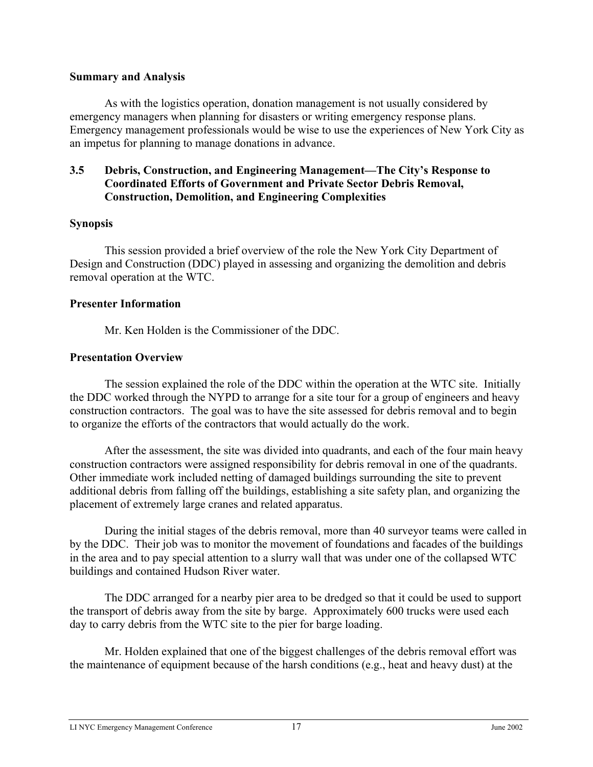#### <span id="page-19-0"></span>**Summary and Analysis**

As with the logistics operation, donation management is not usually considered by emergency managers when planning for disasters or writing emergency response plans. Emergency management professionals would be wise to use the experiences of New York City as an impetus for planning to manage donations in advance.

#### **3.5 Debris, Construction, and Engineering Management—The City's Response to Coordinated Efforts of Government and Private Sector Debris Removal, Construction, Demolition, and Engineering Complexities**

#### **Synopsis**

This session provided a brief overview of the role the New York City Department of Design and Construction (DDC) played in assessing and organizing the demolition and debris removal operation at the WTC.

#### **Presenter Information**

Mr. Ken Holden is the Commissioner of the DDC.

## **Presentation Overview**

The session explained the role of the DDC within the operation at the WTC site. Initially the DDC worked through the NYPD to arrange for a site tour for a group of engineers and heavy construction contractors. The goal was to have the site assessed for debris removal and to begin to organize the efforts of the contractors that would actually do the work.

After the assessment, the site was divided into quadrants, and each of the four main heavy construction contractors were assigned responsibility for debris removal in one of the quadrants. Other immediate work included netting of damaged buildings surrounding the site to prevent additional debris from falling off the buildings, establishing a site safety plan, and organizing the placement of extremely large cranes and related apparatus.

During the initial stages of the debris removal, more than 40 surveyor teams were called in by the DDC. Their job was to monitor the movement of foundations and facades of the buildings in the area and to pay special attention to a slurry wall that was under one of the collapsed WTC buildings and contained Hudson River water.

The DDC arranged for a nearby pier area to be dredged so that it could be used to support the transport of debris away from the site by barge. Approximately 600 trucks were used each day to carry debris from the WTC site to the pier for barge loading.

Mr. Holden explained that one of the biggest challenges of the debris removal effort was the maintenance of equipment because of the harsh conditions (e.g., heat and heavy dust) at the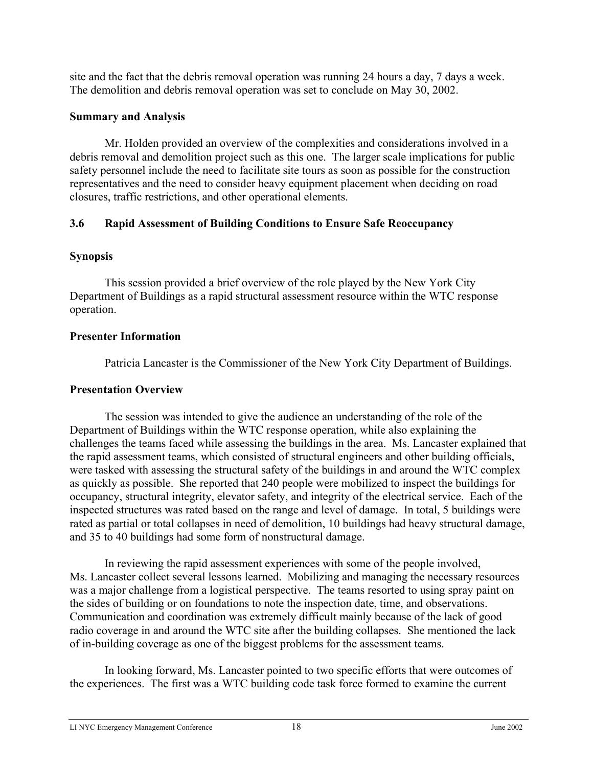<span id="page-20-0"></span>site and the fact that the debris removal operation was running 24 hours a day, 7 days a week. The demolition and debris removal operation was set to conclude on May 30, 2002.

#### **Summary and Analysis**

Mr. Holden provided an overview of the complexities and considerations involved in a debris removal and demolition project such as this one. The larger scale implications for public safety personnel include the need to facilitate site tours as soon as possible for the construction representatives and the need to consider heavy equipment placement when deciding on road closures, traffic restrictions, and other operational elements.

## **3.6 Rapid Assessment of Building Conditions to Ensure Safe Reoccupancy**

## **Synopsis**

This session provided a brief overview of the role played by the New York City Department of Buildings as a rapid structural assessment resource within the WTC response operation.

## **Presenter Information**

Patricia Lancaster is the Commissioner of the New York City Department of Buildings.

## **Presentation Overview**

The session was intended to give the audience an understanding of the role of the Department of Buildings within the WTC response operation, while also explaining the challenges the teams faced while assessing the buildings in the area. Ms. Lancaster explained that the rapid assessment teams, which consisted of structural engineers and other building officials, were tasked with assessing the structural safety of the buildings in and around the WTC complex as quickly as possible. She reported that 240 people were mobilized to inspect the buildings for occupancy, structural integrity, elevator safety, and integrity of the electrical service. Each of the inspected structures was rated based on the range and level of damage. In total, 5 buildings were rated as partial or total collapses in need of demolition, 10 buildings had heavy structural damage, and 35 to 40 buildings had some form of nonstructural damage.

In reviewing the rapid assessment experiences with some of the people involved, Ms. Lancaster collect several lessons learned. Mobilizing and managing the necessary resources was a major challenge from a logistical perspective. The teams resorted to using spray paint on the sides of building or on foundations to note the inspection date, time, and observations. Communication and coordination was extremely difficult mainly because of the lack of good radio coverage in and around the WTC site after the building collapses. She mentioned the lack of in-building coverage as one of the biggest problems for the assessment teams.

In looking forward, Ms. Lancaster pointed to two specific efforts that were outcomes of the experiences. The first was a WTC building code task force formed to examine the current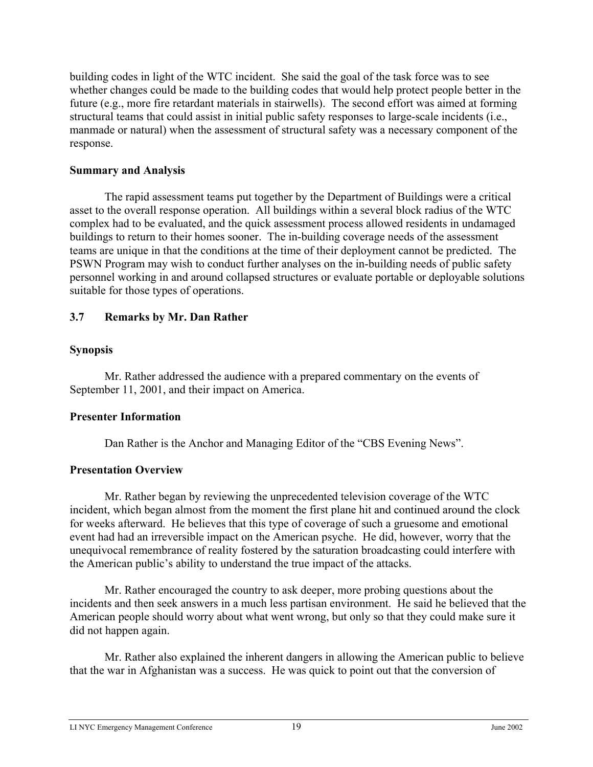<span id="page-21-0"></span>building codes in light of the WTC incident. She said the goal of the task force was to see whether changes could be made to the building codes that would help protect people better in the future (e.g., more fire retardant materials in stairwells). The second effort was aimed at forming structural teams that could assist in initial public safety responses to large-scale incidents (i.e., manmade or natural) when the assessment of structural safety was a necessary component of the response.

#### **Summary and Analysis**

The rapid assessment teams put together by the Department of Buildings were a critical asset to the overall response operation. All buildings within a several block radius of the WTC complex had to be evaluated, and the quick assessment process allowed residents in undamaged buildings to return to their homes sooner. The in-building coverage needs of the assessment teams are unique in that the conditions at the time of their deployment cannot be predicted. The PSWN Program may wish to conduct further analyses on the in-building needs of public safety personnel working in and around collapsed structures or evaluate portable or deployable solutions suitable for those types of operations.

## **3.7 Remarks by Mr. Dan Rather**

## **Synopsis**

Mr. Rather addressed the audience with a prepared commentary on the events of September 11, 2001, and their impact on America.

## **Presenter Information**

Dan Rather is the Anchor and Managing Editor of the "CBS Evening News".

## **Presentation Overview**

Mr. Rather began by reviewing the unprecedented television coverage of the WTC incident, which began almost from the moment the first plane hit and continued around the clock for weeks afterward. He believes that this type of coverage of such a gruesome and emotional event had had an irreversible impact on the American psyche. He did, however, worry that the unequivocal remembrance of reality fostered by the saturation broadcasting could interfere with the American public's ability to understand the true impact of the attacks.

Mr. Rather encouraged the country to ask deeper, more probing questions about the incidents and then seek answers in a much less partisan environment. He said he believed that the American people should worry about what went wrong, but only so that they could make sure it did not happen again.

Mr. Rather also explained the inherent dangers in allowing the American public to believe that the war in Afghanistan was a success. He was quick to point out that the conversion of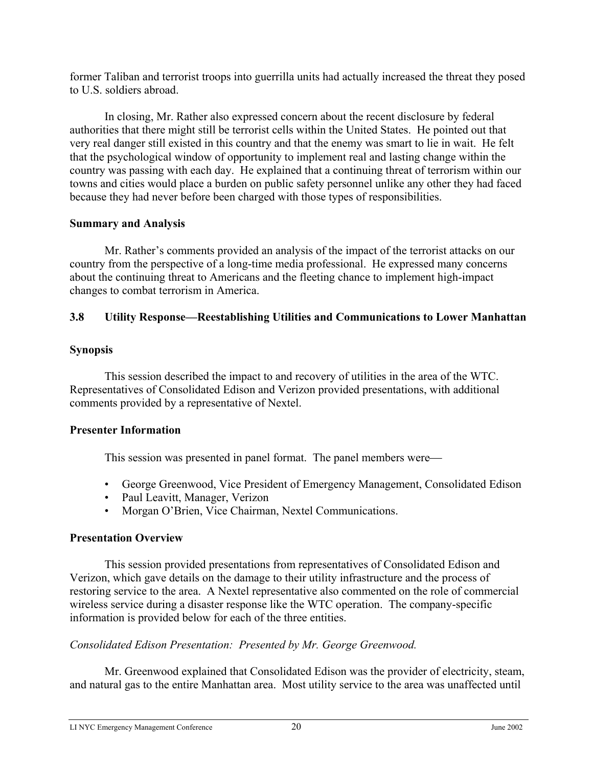<span id="page-22-0"></span>former Taliban and terrorist troops into guerrilla units had actually increased the threat they posed to U.S. soldiers abroad.

In closing, Mr. Rather also expressed concern about the recent disclosure by federal authorities that there might still be terrorist cells within the United States. He pointed out that very real danger still existed in this country and that the enemy was smart to lie in wait. He felt that the psychological window of opportunity to implement real and lasting change within the country was passing with each day. He explained that a continuing threat of terrorism within our towns and cities would place a burden on public safety personnel unlike any other they had faced because they had never before been charged with those types of responsibilities.

## **Summary and Analysis**

Mr. Rather's comments provided an analysis of the impact of the terrorist attacks on our country from the perspective of a long-time media professional. He expressed many concerns about the continuing threat to Americans and the fleeting chance to implement high-impact changes to combat terrorism in America.

## **3.8 Utility Response—Reestablishing Utilities and Communications to Lower Manhattan**

## **Synopsis**

This session described the impact to and recovery of utilities in the area of the WTC. Representatives of Consolidated Edison and Verizon provided presentations, with additional comments provided by a representative of Nextel.

## **Presenter Information**

This session was presented in panel format. The panel members were

- George Greenwood, Vice President of Emergency Management, Consolidated Edison
- Paul Leavitt, Manager, Verizon
- Morgan O'Brien, Vice Chairman, Nextel Communications.

## **Presentation Overview**

This session provided presentations from representatives of Consolidated Edison and Verizon, which gave details on the damage to their utility infrastructure and the process of restoring service to the area. A Nextel representative also commented on the role of commercial wireless service during a disaster response like the WTC operation. The company-specific information is provided below for each of the three entities.

## *Consolidated Edison Presentation: Presented by Mr. George Greenwood.*

Mr. Greenwood explained that Consolidated Edison was the provider of electricity, steam, and natural gas to the entire Manhattan area. Most utility service to the area was unaffected until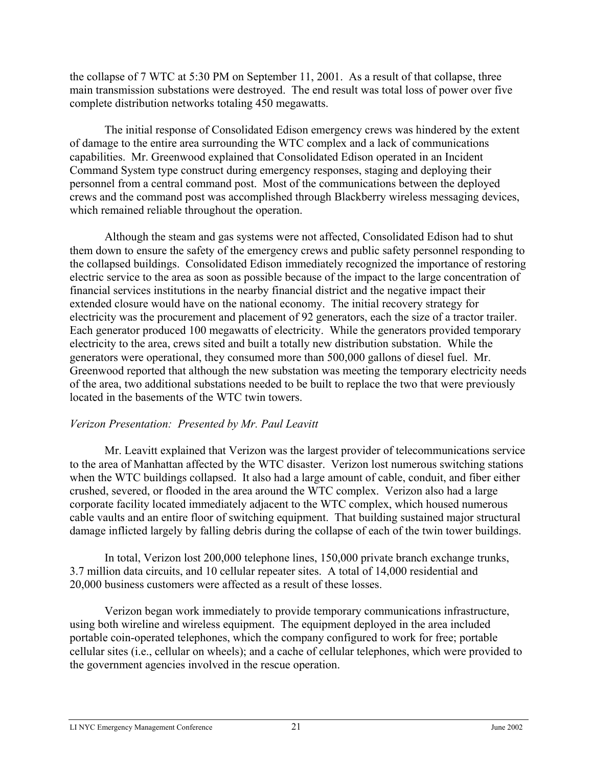the collapse of 7 WTC at 5:30 PM on September 11, 2001. As a result of that collapse, three main transmission substations were destroyed. The end result was total loss of power over five complete distribution networks totaling 450 megawatts.

The initial response of Consolidated Edison emergency crews was hindered by the extent of damage to the entire area surrounding the WTC complex and a lack of communications capabilities. Mr. Greenwood explained that Consolidated Edison operated in an Incident Command System type construct during emergency responses, staging and deploying their personnel from a central command post. Most of the communications between the deployed crews and the command post was accomplished through Blackberry wireless messaging devices, which remained reliable throughout the operation.

Although the steam and gas systems were not affected, Consolidated Edison had to shut them down to ensure the safety of the emergency crews and public safety personnel responding to the collapsed buildings. Consolidated Edison immediately recognized the importance of restoring electric service to the area as soon as possible because of the impact to the large concentration of financial services institutions in the nearby financial district and the negative impact their extended closure would have on the national economy. The initial recovery strategy for electricity was the procurement and placement of 92 generators, each the size of a tractor trailer. Each generator produced 100 megawatts of electricity. While the generators provided temporary electricity to the area, crews sited and built a totally new distribution substation. While the generators were operational, they consumed more than 500,000 gallons of diesel fuel. Mr. Greenwood reported that although the new substation was meeting the temporary electricity needs of the area, two additional substations needed to be built to replace the two that were previously located in the basements of the WTC twin towers.

#### *Verizon Presentation: Presented by Mr. Paul Leavitt*

Mr. Leavitt explained that Verizon was the largest provider of telecommunications service to the area of Manhattan affected by the WTC disaster. Verizon lost numerous switching stations when the WTC buildings collapsed. It also had a large amount of cable, conduit, and fiber either crushed, severed, or flooded in the area around the WTC complex. Verizon also had a large corporate facility located immediately adjacent to the WTC complex, which housed numerous cable vaults and an entire floor of switching equipment. That building sustained major structural damage inflicted largely by falling debris during the collapse of each of the twin tower buildings.

In total, Verizon lost 200,000 telephone lines, 150,000 private branch exchange trunks, 3.7 million data circuits, and 10 cellular repeater sites. A total of 14,000 residential and 20,000 business customers were affected as a result of these losses.

Verizon began work immediately to provide temporary communications infrastructure, using both wireline and wireless equipment. The equipment deployed in the area included portable coin-operated telephones, which the company configured to work for free; portable cellular sites (i.e., cellular on wheels); and a cache of cellular telephones, which were provided to the government agencies involved in the rescue operation.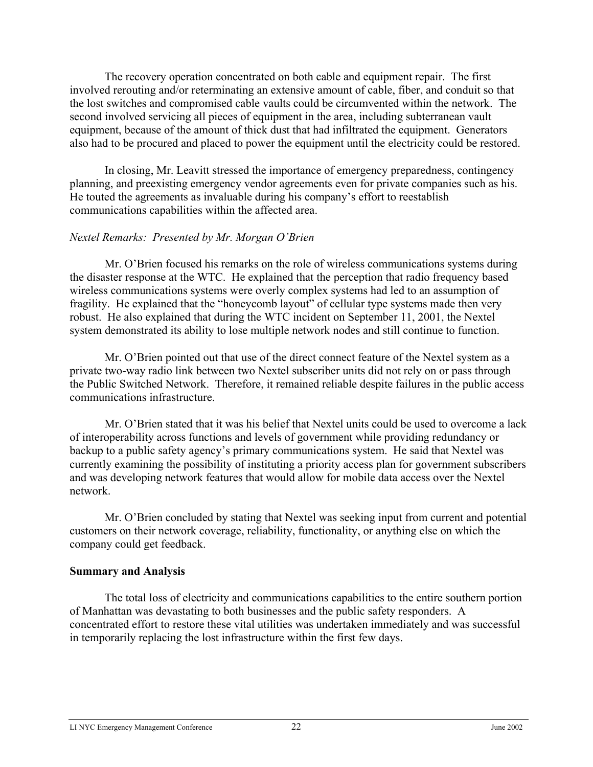The recovery operation concentrated on both cable and equipment repair. The first involved rerouting and/or reterminating an extensive amount of cable, fiber, and conduit so that the lost switches and compromised cable vaults could be circumvented within the network. The second involved servicing all pieces of equipment in the area, including subterranean vault equipment, because of the amount of thick dust that had infiltrated the equipment. Generators also had to be procured and placed to power the equipment until the electricity could be restored.

In closing, Mr. Leavitt stressed the importance of emergency preparedness, contingency planning, and preexisting emergency vendor agreements even for private companies such as his. He touted the agreements as invaluable during his company's effort to reestablish communications capabilities within the affected area.

#### *Nextel Remarks: Presented by Mr. Morgan O'Brien*

Mr. O'Brien focused his remarks on the role of wireless communications systems during the disaster response at the WTC. He explained that the perception that radio frequency based wireless communications systems were overly complex systems had led to an assumption of fragility. He explained that the "honeycomb layout" of cellular type systems made then very robust. He also explained that during the WTC incident on September 11, 2001, the Nextel system demonstrated its ability to lose multiple network nodes and still continue to function.

Mr. O'Brien pointed out that use of the direct connect feature of the Nextel system as a private two-way radio link between two Nextel subscriber units did not rely on or pass through the Public Switched Network. Therefore, it remained reliable despite failures in the public access communications infrastructure.

Mr. O'Brien stated that it was his belief that Nextel units could be used to overcome a lack of interoperability across functions and levels of government while providing redundancy or backup to a public safety agency's primary communications system. He said that Nextel was currently examining the possibility of instituting a priority access plan for government subscribers and was developing network features that would allow for mobile data access over the Nextel network.

Mr. O'Brien concluded by stating that Nextel was seeking input from current and potential customers on their network coverage, reliability, functionality, or anything else on which the company could get feedback.

## **Summary and Analysis**

The total loss of electricity and communications capabilities to the entire southern portion of Manhattan was devastating to both businesses and the public safety responders. A concentrated effort to restore these vital utilities was undertaken immediately and was successful in temporarily replacing the lost infrastructure within the first few days.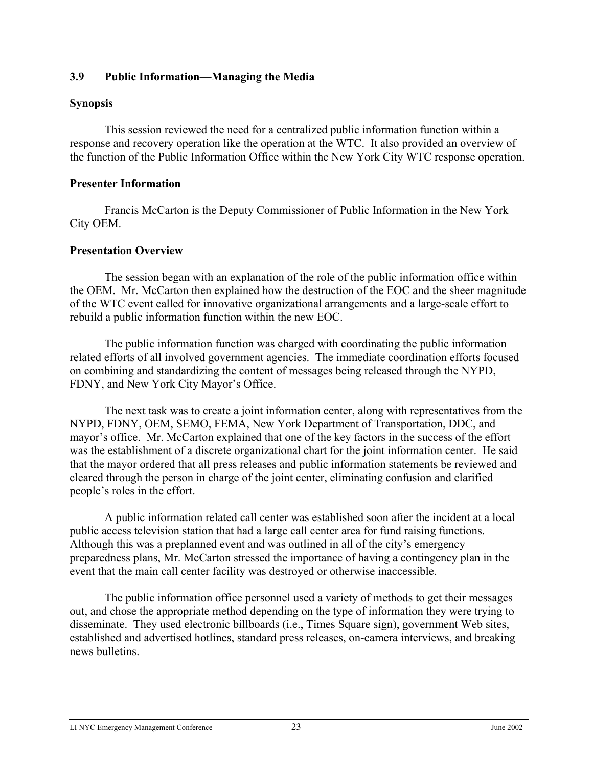#### <span id="page-25-0"></span>**3.9 Public Information—Managing the Media**

#### **Synopsis**

This session reviewed the need for a centralized public information function within a response and recovery operation like the operation at the WTC. It also provided an overview of the function of the Public Information Office within the New York City WTC response operation.

#### **Presenter Information**

Francis McCarton is the Deputy Commissioner of Public Information in the New York City OEM.

## **Presentation Overview**

The session began with an explanation of the role of the public information office within the OEM. Mr. McCarton then explained how the destruction of the EOC and the sheer magnitude of the WTC event called for innovative organizational arrangements and a large-scale effort to rebuild a public information function within the new EOC.

The public information function was charged with coordinating the public information related efforts of all involved government agencies. The immediate coordination efforts focused on combining and standardizing the content of messages being released through the NYPD, FDNY, and New York City Mayor's Office.

The next task was to create a joint information center, along with representatives from the NYPD, FDNY, OEM, SEMO, FEMA, New York Department of Transportation, DDC, and mayor's office. Mr. McCarton explained that one of the key factors in the success of the effort was the establishment of a discrete organizational chart for the joint information center. He said that the mayor ordered that all press releases and public information statements be reviewed and cleared through the person in charge of the joint center, eliminating confusion and clarified people's roles in the effort.

A public information related call center was established soon after the incident at a local public access television station that had a large call center area for fund raising functions. Although this was a preplanned event and was outlined in all of the city's emergency preparedness plans, Mr. McCarton stressed the importance of having a contingency plan in the event that the main call center facility was destroyed or otherwise inaccessible.

The public information office personnel used a variety of methods to get their messages out, and chose the appropriate method depending on the type of information they were trying to disseminate. They used electronic billboards (i.e., Times Square sign), government Web sites, established and advertised hotlines, standard press releases, on-camera interviews, and breaking news bulletins.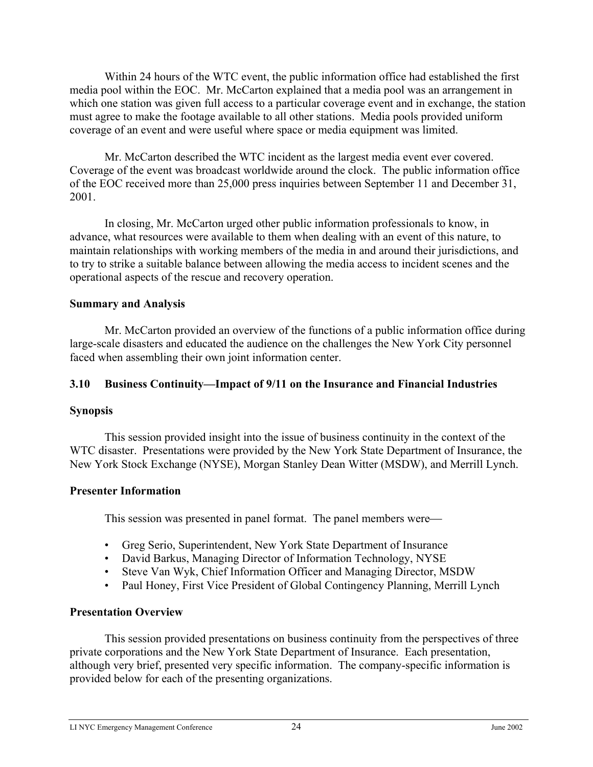<span id="page-26-0"></span>Within 24 hours of the WTC event, the public information office had established the first media pool within the EOC. Mr. McCarton explained that a media pool was an arrangement in which one station was given full access to a particular coverage event and in exchange, the station must agree to make the footage available to all other stations. Media pools provided uniform coverage of an event and were useful where space or media equipment was limited.

Mr. McCarton described the WTC incident as the largest media event ever covered. Coverage of the event was broadcast worldwide around the clock. The public information office of the EOC received more than 25,000 press inquiries between September 11 and December 31, 2001.

In closing, Mr. McCarton urged other public information professionals to know, in advance, what resources were available to them when dealing with an event of this nature, to maintain relationships with working members of the media in and around their jurisdictions, and to try to strike a suitable balance between allowing the media access to incident scenes and the operational aspects of the rescue and recovery operation.

## **Summary and Analysis**

Mr. McCarton provided an overview of the functions of a public information office during large-scale disasters and educated the audience on the challenges the New York City personnel faced when assembling their own joint information center.

#### **3.10 Business Continuity—Impact of 9/11 on the Insurance and Financial Industries**

#### **Synopsis**

This session provided insight into the issue of business continuity in the context of the WTC disaster. Presentations were provided by the New York State Department of Insurance, the New York Stock Exchange (NYSE), Morgan Stanley Dean Witter (MSDW), and Merrill Lynch.

#### **Presenter Information**

This session was presented in panel format. The panel members were

- Greg Serio, Superintendent, New York State Department of Insurance
- David Barkus, Managing Director of Information Technology, NYSE
- Steve Van Wyk, Chief Information Officer and Managing Director, MSDW
- Paul Honey, First Vice President of Global Contingency Planning, Merrill Lynch

#### **Presentation Overview**

This session provided presentations on business continuity from the perspectives of three private corporations and the New York State Department of Insurance. Each presentation, although very brief, presented very specific information. The company-specific information is provided below for each of the presenting organizations.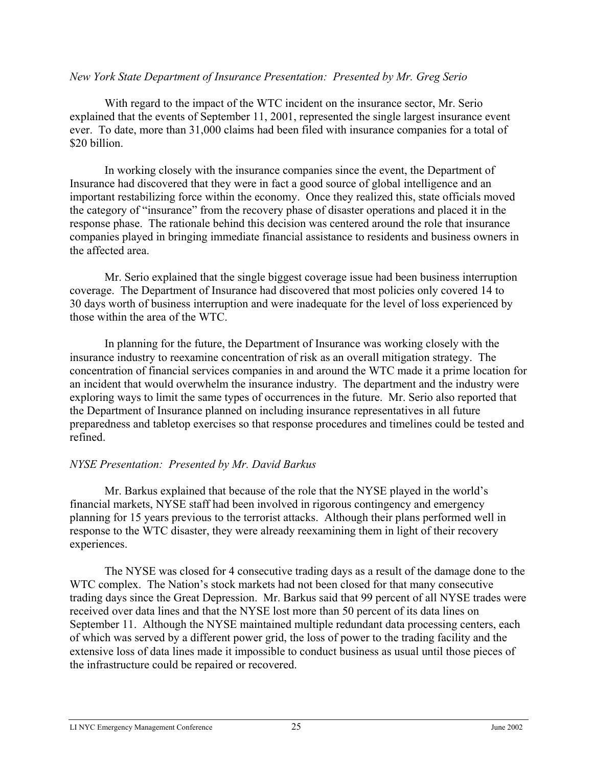#### *New York State Department of Insurance Presentation: Presented by Mr. Greg Serio*

With regard to the impact of the WTC incident on the insurance sector, Mr. Serio explained that the events of September 11, 2001, represented the single largest insurance event ever. To date, more than 31,000 claims had been filed with insurance companies for a total of \$20 billion.

In working closely with the insurance companies since the event, the Department of Insurance had discovered that they were in fact a good source of global intelligence and an important restabilizing force within the economy. Once they realized this, state officials moved the category of "insurance" from the recovery phase of disaster operations and placed it in the response phase. The rationale behind this decision was centered around the role that insurance companies played in bringing immediate financial assistance to residents and business owners in the affected area.

Mr. Serio explained that the single biggest coverage issue had been business interruption coverage. The Department of Insurance had discovered that most policies only covered 14 to 30 days worth of business interruption and were inadequate for the level of loss experienced by those within the area of the WTC.

In planning for the future, the Department of Insurance was working closely with the insurance industry to reexamine concentration of risk as an overall mitigation strategy. The concentration of financial services companies in and around the WTC made it a prime location for an incident that would overwhelm the insurance industry. The department and the industry were exploring ways to limit the same types of occurrences in the future. Mr. Serio also reported that the Department of Insurance planned on including insurance representatives in all future preparedness and tabletop exercises so that response procedures and timelines could be tested and refined.

#### *NYSE Presentation: Presented by Mr. David Barkus*

Mr. Barkus explained that because of the role that the NYSE played in the world's financial markets, NYSE staff had been involved in rigorous contingency and emergency planning for 15 years previous to the terrorist attacks. Although their plans performed well in response to the WTC disaster, they were already reexamining them in light of their recovery experiences.

The NYSE was closed for 4 consecutive trading days as a result of the damage done to the WTC complex. The Nation's stock markets had not been closed for that many consecutive trading days since the Great Depression. Mr. Barkus said that 99 percent of all NYSE trades were received over data lines and that the NYSE lost more than 50 percent of its data lines on September 11. Although the NYSE maintained multiple redundant data processing centers, each of which was served by a different power grid, the loss of power to the trading facility and the extensive loss of data lines made it impossible to conduct business as usual until those pieces of the infrastructure could be repaired or recovered.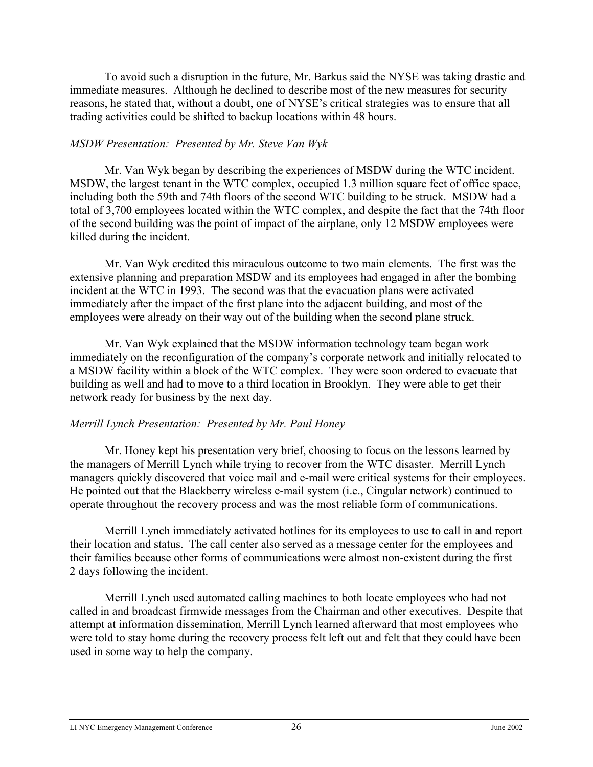To avoid such a disruption in the future, Mr. Barkus said the NYSE was taking drastic and immediate measures. Although he declined to describe most of the new measures for security reasons, he stated that, without a doubt, one of NYSE's critical strategies was to ensure that all trading activities could be shifted to backup locations within 48 hours.

#### *MSDW Presentation: Presented by Mr. Steve Van Wyk*

Mr. Van Wyk began by describing the experiences of MSDW during the WTC incident. MSDW, the largest tenant in the WTC complex, occupied 1.3 million square feet of office space, including both the 59th and 74th floors of the second WTC building to be struck. MSDW had a total of 3,700 employees located within the WTC complex, and despite the fact that the 74th floor of the second building was the point of impact of the airplane, only 12 MSDW employees were killed during the incident.

Mr. Van Wyk credited this miraculous outcome to two main elements. The first was the extensive planning and preparation MSDW and its employees had engaged in after the bombing incident at the WTC in 1993. The second was that the evacuation plans were activated immediately after the impact of the first plane into the adjacent building, and most of the employees were already on their way out of the building when the second plane struck.

Mr. Van Wyk explained that the MSDW information technology team began work immediately on the reconfiguration of the company's corporate network and initially relocated to a MSDW facility within a block of the WTC complex. They were soon ordered to evacuate that building as well and had to move to a third location in Brooklyn. They were able to get their network ready for business by the next day.

#### *Merrill Lynch Presentation: Presented by Mr. Paul Honey*

Mr. Honey kept his presentation very brief, choosing to focus on the lessons learned by the managers of Merrill Lynch while trying to recover from the WTC disaster. Merrill Lynch managers quickly discovered that voice mail and e-mail were critical systems for their employees. He pointed out that the Blackberry wireless e-mail system (i.e., Cingular network) continued to operate throughout the recovery process and was the most reliable form of communications.

Merrill Lynch immediately activated hotlines for its employees to use to call in and report their location and status. The call center also served as a message center for the employees and their families because other forms of communications were almost non-existent during the first 2 days following the incident.

Merrill Lynch used automated calling machines to both locate employees who had not called in and broadcast firmwide messages from the Chairman and other executives. Despite that attempt at information dissemination, Merrill Lynch learned afterward that most employees who were told to stay home during the recovery process felt left out and felt that they could have been used in some way to help the company.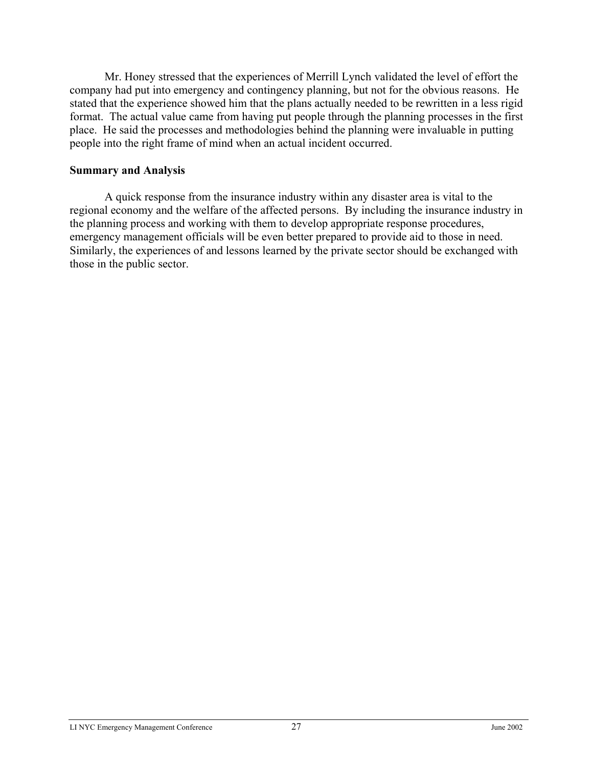Mr. Honey stressed that the experiences of Merrill Lynch validated the level of effort the company had put into emergency and contingency planning, but not for the obvious reasons. He stated that the experience showed him that the plans actually needed to be rewritten in a less rigid format. The actual value came from having put people through the planning processes in the first place. He said the processes and methodologies behind the planning were invaluable in putting people into the right frame of mind when an actual incident occurred.

#### **Summary and Analysis**

A quick response from the insurance industry within any disaster area is vital to the regional economy and the welfare of the affected persons. By including the insurance industry in the planning process and working with them to develop appropriate response procedures, emergency management officials will be even better prepared to provide aid to those in need. Similarly, the experiences of and lessons learned by the private sector should be exchanged with those in the public sector.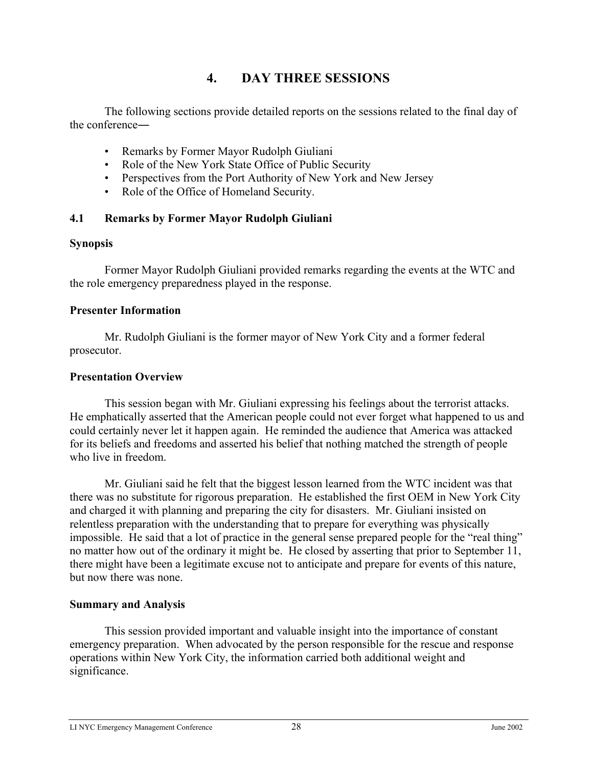# **4. DAY THREE SESSIONS**

<span id="page-30-0"></span>The following sections provide detailed reports on the sessions related to the final day of the conference―

- Remarks by Former Mayor Rudolph Giuliani
- Role of the New York State Office of Public Security
- Perspectives from the Port Authority of New York and New Jersey
- Role of the Office of Homeland Security.

## **4.1 Remarks by Former Mayor Rudolph Giuliani**

#### **Synopsis**

Former Mayor Rudolph Giuliani provided remarks regarding the events at the WTC and the role emergency preparedness played in the response.

#### **Presenter Information**

Mr. Rudolph Giuliani is the former mayor of New York City and a former federal prosecutor.

#### **Presentation Overview**

This session began with Mr. Giuliani expressing his feelings about the terrorist attacks. He emphatically asserted that the American people could not ever forget what happened to us and could certainly never let it happen again. He reminded the audience that America was attacked for its beliefs and freedoms and asserted his belief that nothing matched the strength of people who live in freedom.

Mr. Giuliani said he felt that the biggest lesson learned from the WTC incident was that there was no substitute for rigorous preparation. He established the first OEM in New York City and charged it with planning and preparing the city for disasters. Mr. Giuliani insisted on relentless preparation with the understanding that to prepare for everything was physically impossible. He said that a lot of practice in the general sense prepared people for the "real thing" no matter how out of the ordinary it might be. He closed by asserting that prior to September 11, there might have been a legitimate excuse not to anticipate and prepare for events of this nature, but now there was none.

## **Summary and Analysis**

This session provided important and valuable insight into the importance of constant emergency preparation. When advocated by the person responsible for the rescue and response operations within New York City, the information carried both additional weight and significance.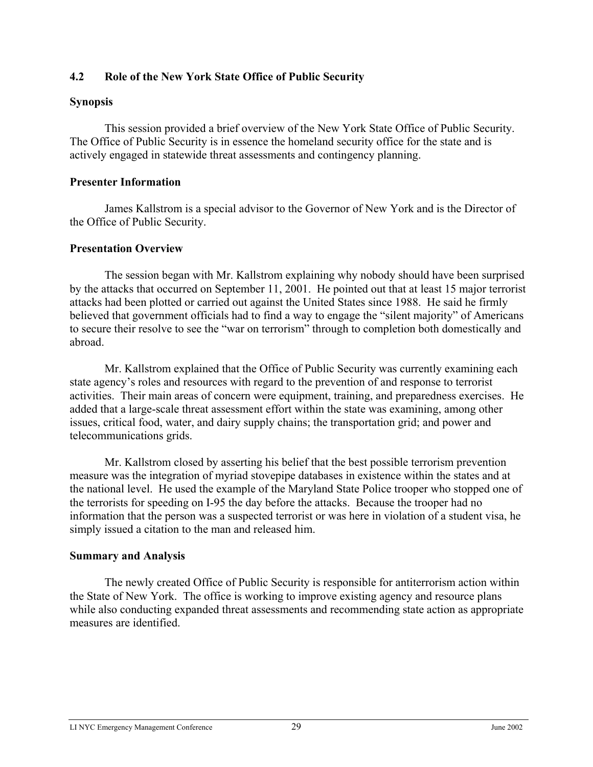#### <span id="page-31-0"></span>**4.2 Role of the New York State Office of Public Security**

#### **Synopsis**

This session provided a brief overview of the New York State Office of Public Security. The Office of Public Security is in essence the homeland security office for the state and is actively engaged in statewide threat assessments and contingency planning.

#### **Presenter Information**

James Kallstrom is a special advisor to the Governor of New York and is the Director of the Office of Public Security.

#### **Presentation Overview**

The session began with Mr. Kallstrom explaining why nobody should have been surprised by the attacks that occurred on September 11, 2001. He pointed out that at least 15 major terrorist attacks had been plotted or carried out against the United States since 1988. He said he firmly believed that government officials had to find a way to engage the "silent majority" of Americans to secure their resolve to see the "war on terrorism" through to completion both domestically and abroad.

Mr. Kallstrom explained that the Office of Public Security was currently examining each state agency's roles and resources with regard to the prevention of and response to terrorist activities. Their main areas of concern were equipment, training, and preparedness exercises. He added that a large-scale threat assessment effort within the state was examining, among other issues, critical food, water, and dairy supply chains; the transportation grid; and power and telecommunications grids.

Mr. Kallstrom closed by asserting his belief that the best possible terrorism prevention measure was the integration of myriad stovepipe databases in existence within the states and at the national level. He used the example of the Maryland State Police trooper who stopped one of the terrorists for speeding on I-95 the day before the attacks. Because the trooper had no information that the person was a suspected terrorist or was here in violation of a student visa, he simply issued a citation to the man and released him.

#### **Summary and Analysis**

The newly created Office of Public Security is responsible for antiterrorism action within the State of New York. The office is working to improve existing agency and resource plans while also conducting expanded threat assessments and recommending state action as appropriate measures are identified.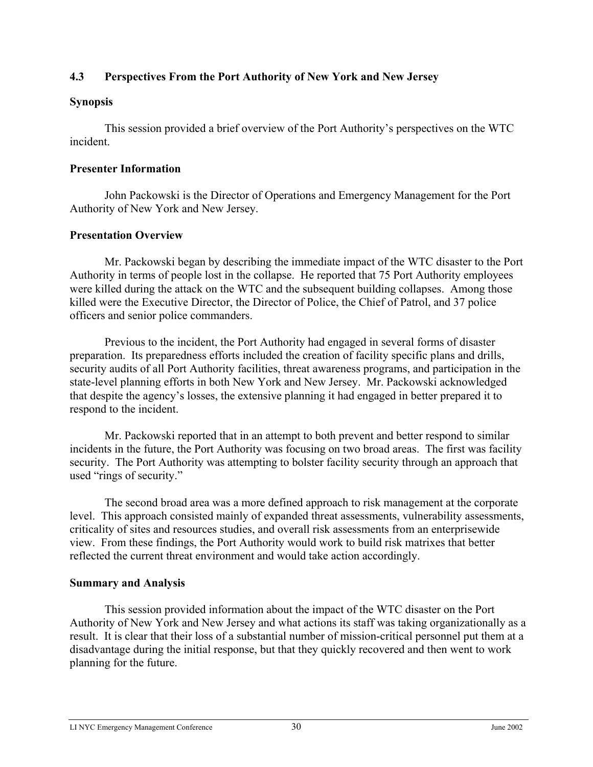## <span id="page-32-0"></span>**4.3 Perspectives From the Port Authority of New York and New Jersey**

## **Synopsis**

This session provided a brief overview of the Port Authority's perspectives on the WTC incident.

## **Presenter Information**

John Packowski is the Director of Operations and Emergency Management for the Port Authority of New York and New Jersey.

## **Presentation Overview**

Mr. Packowski began by describing the immediate impact of the WTC disaster to the Port Authority in terms of people lost in the collapse. He reported that 75 Port Authority employees were killed during the attack on the WTC and the subsequent building collapses. Among those killed were the Executive Director, the Director of Police, the Chief of Patrol, and 37 police officers and senior police commanders.

Previous to the incident, the Port Authority had engaged in several forms of disaster preparation. Its preparedness efforts included the creation of facility specific plans and drills, security audits of all Port Authority facilities, threat awareness programs, and participation in the state-level planning efforts in both New York and New Jersey. Mr. Packowski acknowledged that despite the agency's losses, the extensive planning it had engaged in better prepared it to respond to the incident.

Mr. Packowski reported that in an attempt to both prevent and better respond to similar incidents in the future, the Port Authority was focusing on two broad areas. The first was facility security. The Port Authority was attempting to bolster facility security through an approach that used "rings of security."

The second broad area was a more defined approach to risk management at the corporate level. This approach consisted mainly of expanded threat assessments, vulnerability assessments, criticality of sites and resources studies, and overall risk assessments from an enterprisewide view. From these findings, the Port Authority would work to build risk matrixes that better reflected the current threat environment and would take action accordingly.

## **Summary and Analysis**

This session provided information about the impact of the WTC disaster on the Port Authority of New York and New Jersey and what actions its staff was taking organizationally as a result. It is clear that their loss of a substantial number of mission-critical personnel put them at a disadvantage during the initial response, but that they quickly recovered and then went to work planning for the future.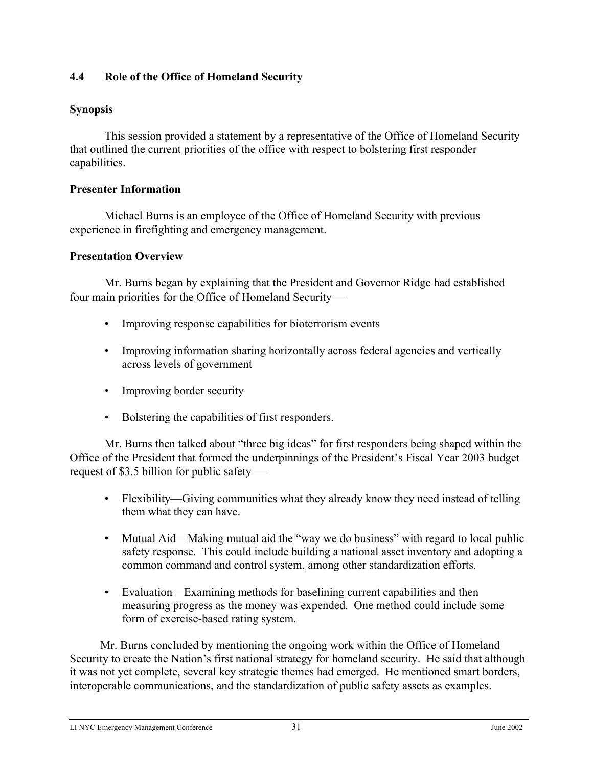## <span id="page-33-0"></span>**4.4 Role of the Office of Homeland Security**

## **Synopsis**

This session provided a statement by a representative of the Office of Homeland Security that outlined the current priorities of the office with respect to bolstering first responder capabilities.

#### **Presenter Information**

Michael Burns is an employee of the Office of Homeland Security with previous experience in firefighting and emergency management.

#### **Presentation Overview**

Mr. Burns began by explaining that the President and Governor Ridge had established four main priorities for the Office of Homeland Security

- Improving response capabilities for bioterrorism events
- Improving information sharing horizontally across federal agencies and vertically across levels of government
- Improving border security
- Bolstering the capabilities of first responders.

Mr. Burns then talked about "three big ideas" for first responders being shaped within the Office of the President that formed the underpinnings of the President's Fiscal Year 2003 budget request of \$3.5 billion for public safety

- Flexibility—Giving communities what they already know they need instead of telling them what they can have.
- Mutual Aid—Making mutual aid the "way we do business" with regard to local public safety response. This could include building a national asset inventory and adopting a common command and control system, among other standardization efforts.
- Evaluation—Examining methods for baselining current capabilities and then measuring progress as the money was expended. One method could include some form of exercise-based rating system.

Mr. Burns concluded by mentioning the ongoing work within the Office of Homeland Security to create the Nation's first national strategy for homeland security. He said that although it was not yet complete, several key strategic themes had emerged. He mentioned smart borders, interoperable communications, and the standardization of public safety assets as examples.